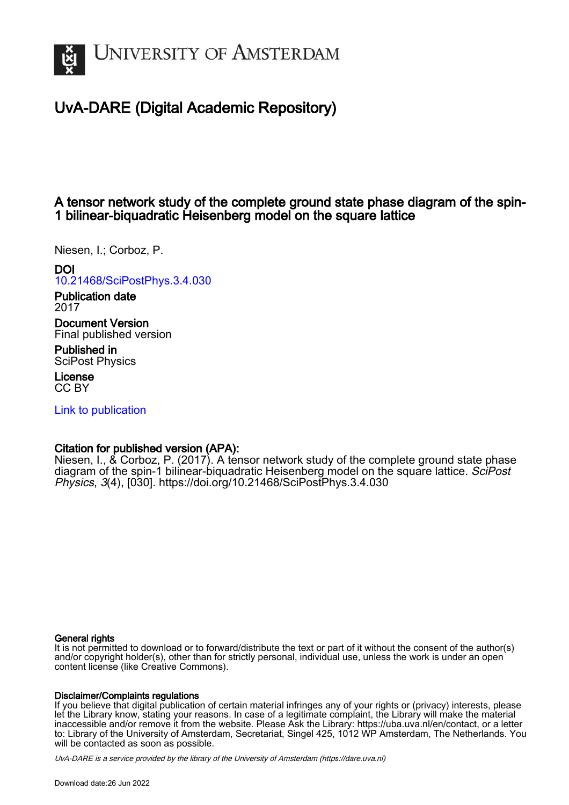

# UvA-DARE (Digital Academic Repository)

# A tensor network study of the complete ground state phase diagram of the spin-1 bilinear-biquadratic Heisenberg model on the square lattice

Niesen, I.; Corboz, P.

# DOI

[10.21468/SciPostPhys.3.4.030](https://doi.org/10.21468/SciPostPhys.3.4.030)

Publication date 2017

Document Version Final published version

Published in SciPost Physics

License CC BY

[Link to publication](https://dare.uva.nl/personal/pure/en/publications/a-tensor-network-study-of-the-complete-ground-state-phase-diagram-of-the-spin1-bilinearbiquadratic-heisenberg-model-on-the-square-lattice(33c62adf-e322-4da7-803d-222ee130fd91).html)

# Citation for published version (APA):

Niesen, I., & Corboz, P. (2017). A tensor network study of the complete ground state phase diagram of the spin-1 bilinear-biquadratic Heisenberg model on the square lattice. SciPost Physics, 3(4), [030].<https://doi.org/10.21468/SciPostPhys.3.4.030>

#### General rights

It is not permitted to download or to forward/distribute the text or part of it without the consent of the author(s) and/or copyright holder(s), other than for strictly personal, individual use, unless the work is under an open content license (like Creative Commons).

#### Disclaimer/Complaints regulations

If you believe that digital publication of certain material infringes any of your rights or (privacy) interests, please let the Library know, stating your reasons. In case of a legitimate complaint, the Library will make the material inaccessible and/or remove it from the website. Please Ask the Library: https://uba.uva.nl/en/contact, or a letter to: Library of the University of Amsterdam, Secretariat, Singel 425, 1012 WP Amsterdam, The Netherlands. You will be contacted as soon as possible.

UvA-DARE is a service provided by the library of the University of Amsterdam (http*s*://dare.uva.nl)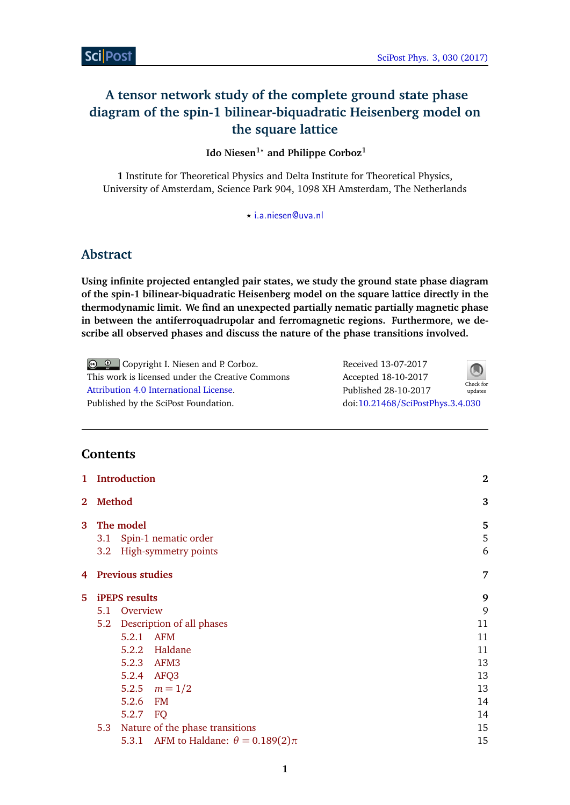# <span id="page-1-0"></span>**A tensor network study of the complete ground state phase diagram of the spin-1 bilinear-biquadratic Heisenberg model on the square lattice**

# **Ido Niesen1***?* **and Philippe Corboz<sup>1</sup>**

**1** Institute for Theoretical Physics and Delta Institute for Theoretical Physics, University of Amsterdam, Science Park 904, 1098 XH Amsterdam, The Netherlands

*?* [i.a.niesen@uva.nl](mailto:i.a.niesen@uva.nl)

# **Abstract**

**Using infinite projected entangled pair states, we study the ground state phase diagram of the spin-1 bilinear-biquadratic Heisenberg model on the square lattice directly in the thermodynamic limit. We find an unexpected partially nematic partially magnetic phase in between the antiferroquadrupolar and ferromagnetic regions. Furthermore, we describe all observed phases and discuss the nature of the phase transitions involved.**

Copyright I. Niesen and P. Corboz. This work is licensed under the Creative Commons [Attribution 4.0 International License.](http://creativecommons.org/licenses/by/4.0/) Published by the SciPost Foundation. Received 13-07-2017 Accepted 18-10-2017 Published 28-10-2017 Check for updates doi:10.21468/[SciPostPhys.3.4.030](http://dx.doi.org/10.21468/SciPostPhys.3.4.030)

# **Contents**

| $\mathbf{1}$   | <b>Introduction</b>           |           |                                              |             |  |
|----------------|-------------------------------|-----------|----------------------------------------------|-------------|--|
| $\overline{2}$ | <b>Method</b>                 | 3         |                                              |             |  |
| 3              | 3.1<br>3.2                    | The model | Spin-1 nematic order<br>High-symmetry points | 5<br>5<br>6 |  |
| 4              | <b>Previous studies</b>       |           |                                              |             |  |
| 5              | <b>iPEPS</b> results          |           |                                              | 9           |  |
|                | 5.1                           | Overview  |                                              | 9           |  |
|                | 5.2 Description of all phases |           |                                              | 11          |  |
|                |                               | 5.2.1 AFM |                                              | 11          |  |
|                |                               |           | 5.2.2 Haldane                                | 11          |  |
|                |                               |           | 5.2.3 AFM3                                   | 13          |  |
|                |                               |           | 5.2.4 AFQ3                                   | 13          |  |
|                |                               |           | 5.2.5 $m = 1/2$                              | 13          |  |
|                |                               | 5.2.6     | FM                                           | 14          |  |
|                |                               | 5.2.7     | FQ                                           | 14          |  |
|                | 5.3                           |           | Nature of the phase transitions              | 15          |  |
|                |                               |           | 5.3.1 AFM to Haldane: $\theta = 0.189(2)\pi$ | 15          |  |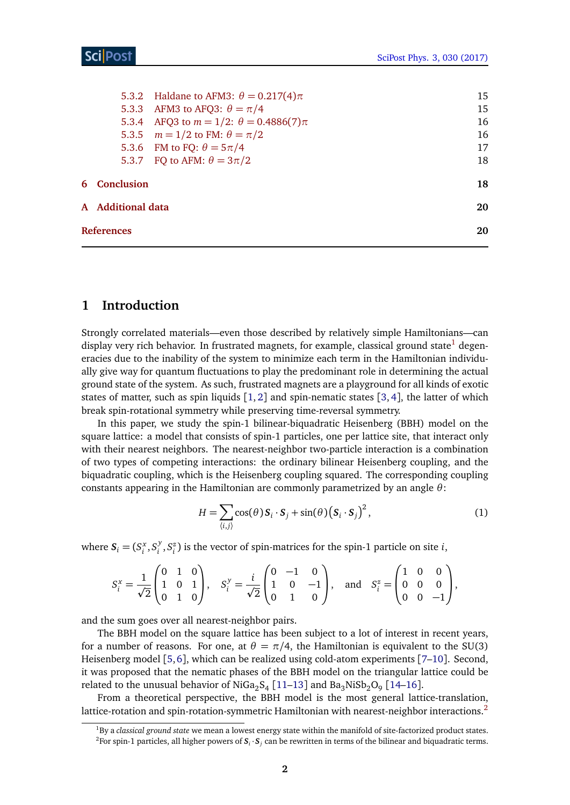|                   |                     | 5.3.2 Haldane to AFM3: $\theta = 0.217(4)\pi$     | 15 |  |  |
|-------------------|---------------------|---------------------------------------------------|----|--|--|
|                   |                     | 5.3.3 AFM3 to AFQ3: $\theta = \pi/4$              | 15 |  |  |
|                   |                     | 5.3.4 AFQ3 to $m = 1/2$ : $\theta = 0.4886(7)\pi$ | 16 |  |  |
|                   |                     | 5.3.5 $m = 1/2$ to FM: $\theta = \pi/2$           | 16 |  |  |
|                   |                     | 5.3.6 FM to FQ: $\theta = 5\pi/4$                 | 17 |  |  |
|                   |                     | 5.3.7 FQ to AFM: $\theta = 3\pi/2$                | 18 |  |  |
|                   | <b>6</b> Conclusion |                                                   | 18 |  |  |
| A Additional data |                     |                                                   |    |  |  |
|                   | <b>References</b>   |                                                   |    |  |  |

## <span id="page-2-0"></span>**1 Introduction**

Strongly correlated materials—even those described by relatively simple Hamiltonians—can display very rich behavior. In frustrated magnets, for example, classical ground state<sup>[1](#page-1-0)</sup> degeneracies due to the inability of the system to minimize each term in the Hamiltonian individually give way for quantum fluctuations to play the predominant role in determining the actual ground state of the system. As such, frustrated magnets are a playground for all kinds of exotic states of matter, such as spin liquids  $\lceil 1, 2 \rceil$  $\lceil 1, 2 \rceil$  $\lceil 1, 2 \rceil$  $\lceil 1, 2 \rceil$  $\lceil 1, 2 \rceil$  and spin-nematic states  $\lceil 3, 4 \rceil$  $\lceil 3, 4 \rceil$  $\lceil 3, 4 \rceil$  $\lceil 3, 4 \rceil$  $\lceil 3, 4 \rceil$ , the latter of which break spin-rotational symmetry while preserving time-reversal symmetry.

In this paper, we study the spin-1 bilinear-biquadratic Heisenberg (BBH) model on the square lattice: a model that consists of spin-1 particles, one per lattice site, that interact only with their nearest neighbors. The nearest-neighbor two-particle interaction is a combination of two types of competing interactions: the ordinary bilinear Heisenberg coupling, and the biquadratic coupling, which is the Heisenberg coupling squared. The corresponding coupling constants appearing in the Hamiltonian are commonly parametrized by an angle *θ*:

<span id="page-2-1"></span>
$$
H = \sum_{\langle i,j \rangle} \cos(\theta) \mathbf{S}_i \cdot \mathbf{S}_j + \sin(\theta) \left( \mathbf{S}_i \cdot \mathbf{S}_j \right)^2, \tag{1}
$$

where  $S_i = (S_i^x, S_i^y)$  $\binom{y}{i}$ ,  $S_i^z$ ) is the vector of spin-matrices for the spin-1 particle on site *i*,

$$
S_i^x = \frac{1}{\sqrt{2}} \begin{pmatrix} 0 & 1 & 0 \\ 1 & 0 & 1 \\ 0 & 1 & 0 \end{pmatrix}, \quad S_i^y = \frac{i}{\sqrt{2}} \begin{pmatrix} 0 & -1 & 0 \\ 1 & 0 & -1 \\ 0 & 1 & 0 \end{pmatrix}, \text{ and } S_i^z = \begin{pmatrix} 1 & 0 & 0 \\ 0 & 0 & 0 \\ 0 & 0 & -1 \end{pmatrix},
$$

and the sum goes over all nearest-neighbor pairs.

The BBH model on the square lattice has been subject to a lot of interest in recent years, for a number of reasons. For one, at  $\theta = \pi/4$ , the Hamiltonian is equivalent to the SU(3) Heisenberg model [[5,](#page-21-0)[6](#page-21-1)], which can be realized using cold-atom experiments [[7–](#page-21-2)[10](#page-21-3)]. Second, it was proposed that the nematic phases of the BBH model on the triangular lattice could be related to the unusual behavior of NiGa<sub>2</sub>S<sub>4</sub> [[11](#page-21-4)[–13](#page-21-5)] and Ba<sub>3</sub>NiSb<sub>2</sub>O<sub>9</sub> [[14–](#page-21-6)[16](#page-21-7)].

From a theoretical perspective, the BBH model is the most general lattice-translation, lattice-rotation and spin-rotation-symmetric Hamiltonian with nearest-neighbor interactions.<sup>[2](#page-1-0)</sup>

<sup>1</sup>By a *classical ground state* we mean a lowest energy state within the manifold of site-factorized product states.  $^2$ For spin-1 particles, all higher powers of  $S_i\cdot S_j$  can be rewritten in terms of the bilinear and biquadratic terms.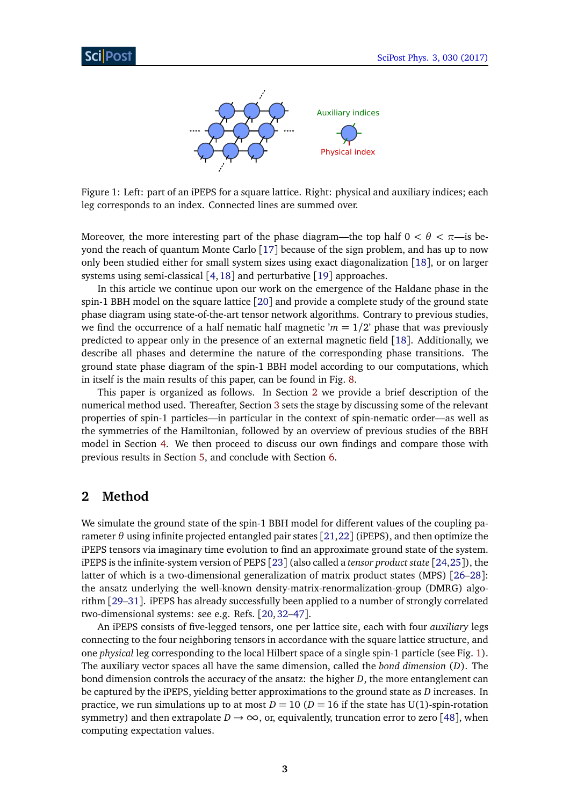

<span id="page-3-1"></span>Figure 1: Left: part of an iPEPS for a square lattice. Right: physical and auxiliary indices; each leg corresponds to an index. Connected lines are summed over.

Moreover, the more interesting part of the phase diagram—the top half  $0 < \theta < \pi$ —is beyond the reach of quantum Monte Carlo [[17](#page-21-8)] because of the sign problem, and has up to now only been studied either for small system sizes using exact diagonalization [[18](#page-21-9)], or on larger systems using semi-classical [[4,](#page-20-4)[18](#page-21-9)] and perturbative [[19](#page-21-10)] approaches.

In this article we continue upon our work on the emergence of the Haldane phase in the spin-1 BBH model on the square lattice [[20](#page-22-0)] and provide a complete study of the ground state phase diagram using state-of-the-art tensor network algorithms. Contrary to previous studies, we find the occurrence of a half nematic half magnetic ' $m = 1/2$ ' phase that was previously predicted to appear only in the presence of an external magnetic field [[18](#page-21-9)]. Additionally, we describe all phases and determine the nature of the corresponding phase transitions. The ground state phase diagram of the spin-1 BBH model according to our computations, which in itself is the main results of this paper, can be found in Fig. [8.](#page-12-0)

This paper is organized as follows. In Section [2](#page-3-0) we provide a brief description of the numerical method used. Thereafter, Section [3](#page-5-0) sets the stage by discussing some of the relevant properties of spin-1 particles—in particular in the context of spin-nematic order—as well as the symmetries of the Hamiltonian, followed by an overview of previous studies of the BBH model in Section [4.](#page-7-0) We then proceed to discuss our own findings and compare those with previous results in Section [5,](#page-9-0) and conclude with Section [6.](#page-18-1)

## <span id="page-3-0"></span>**2 Method**

We simulate the ground state of the spin-1 BBH model for different values of the coupling parameter *θ* using infinite projected entangled pair states [[21,](#page-22-1)[22](#page-22-2)] (iPEPS), and then optimize the iPEPS tensors via imaginary time evolution to find an approximate ground state of the system. iPEPS is the infinite-system version of PEPS [[23](#page-22-3)] (also called a *tensor product state* [[24,](#page-22-4)[25](#page-22-5)]), the latter of which is a two-dimensional generalization of matrix product states (MPS) [[26–](#page-22-6)[28](#page-22-7)]: the ansatz underlying the well-known density-matrix-renormalization-group (DMRG) algorithm [[29–](#page-22-8)[31](#page-22-9)]. iPEPS has already successfully been applied to a number of strongly correlated two-dimensional systems: see e.g. Refs. [[20,](#page-22-0)[32](#page-22-10)[–47](#page-23-0)].

An iPEPS consists of five-legged tensors, one per lattice site, each with four *auxiliary* legs connecting to the four neighboring tensors in accordance with the square lattice structure, and one *physical* leg corresponding to the local Hilbert space of a single spin-1 particle (see Fig. [1\)](#page-3-1). The auxiliary vector spaces all have the same dimension, called the *bond dimension* (*D*). The bond dimension controls the accuracy of the ansatz: the higher *D*, the more entanglement can be captured by the iPEPS, yielding better approximations to the ground state as *D* increases. In practice, we run simulations up to at most  $D = 10$  ( $D = 16$  if the state has U(1)-spin-rotation symmetry) and then extrapolate  $D \rightarrow \infty$ , or, equivalently, truncation error to zero [[48](#page-23-1)], when computing expectation values.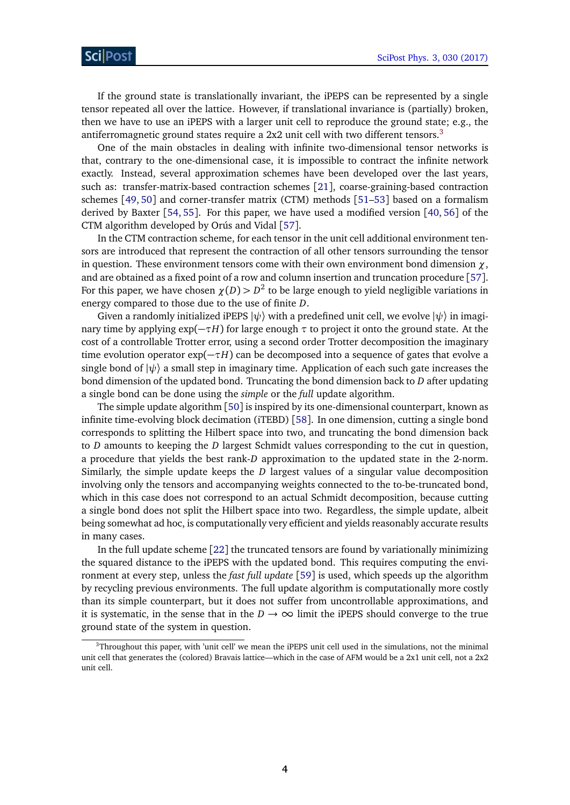If the ground state is translationally invariant, the iPEPS can be represented by a single tensor repeated all over the lattice. However, if translational invariance is (partially) broken, then we have to use an iPEPS with a larger unit cell to reproduce the ground state; e.g., the antiferromagnetic ground states require a  $2x2$  unit cell with two different tensors.<sup>[3](#page-1-0)</sup>

One of the main obstacles in dealing with infinite two-dimensional tensor networks is that, contrary to the one-dimensional case, it is impossible to contract the infinite network exactly. Instead, several approximation schemes have been developed over the last years, such as: transfer-matrix-based contraction schemes [[21](#page-22-1)], coarse-graining-based contraction schemes [[49,](#page-23-2) [50](#page-24-0)] and corner-transfer matrix (CTM) methods [[51–](#page-24-1)[53](#page-24-2)] based on a formalism derived by Baxter [[54,](#page-24-3) [55](#page-24-4)]. For this paper, we have used a modified version [[40,](#page-23-3) [56](#page-24-5)] of the CTM algorithm developed by Orús and Vidal [[57](#page-24-6)].

In the CTM contraction scheme, for each tensor in the unit cell additional environment tensors are introduced that represent the contraction of all other tensors surrounding the tensor in question. These environment tensors come with their own environment bond dimension  $\chi$ , and are obtained as a fixed point of a row and column insertion and truncation procedure [[57](#page-24-6)]. For this paper, we have chosen  $\chi(D) > D^2$  to be large enough to yield negligible variations in energy compared to those due to the use of finite *D*.

Given a randomly initialized iPEPS  $|\psi\rangle$  with a predefined unit cell, we evolve  $|\psi\rangle$  in imaginary time by applying  $exp(-\tau H)$  for large enough  $\tau$  to project it onto the ground state. At the cost of a controllable Trotter error, using a second order Trotter decomposition the imaginary time evolution operator  $exp(-\tau H)$  can be decomposed into a sequence of gates that evolve a single bond of  $|\psi\rangle$  a small step in imaginary time. Application of each such gate increases the bond dimension of the updated bond. Truncating the bond dimension back to *D* after updating a single bond can be done using the *simple* or the *full* update algorithm.

The simple update algorithm [[50](#page-24-0)] is inspired by its one-dimensional counterpart, known as infinite time-evolving block decimation (iTEBD) [[58](#page-24-7)]. In one dimension, cutting a single bond corresponds to splitting the Hilbert space into two, and truncating the bond dimension back to *D* amounts to keeping the *D* largest Schmidt values corresponding to the cut in question, a procedure that yields the best rank-*D* approximation to the updated state in the 2-norm. Similarly, the simple update keeps the *D* largest values of a singular value decomposition involving only the tensors and accompanying weights connected to the to-be-truncated bond, which in this case does not correspond to an actual Schmidt decomposition, because cutting a single bond does not split the Hilbert space into two. Regardless, the simple update, albeit being somewhat ad hoc, is computationally very efficient and yields reasonably accurate results in many cases.

In the full update scheme [[22](#page-22-2)] the truncated tensors are found by variationally minimizing the squared distance to the iPEPS with the updated bond. This requires computing the environment at every step, unless the *fast full update* [[59](#page-24-8)] is used, which speeds up the algorithm by recycling previous environments. The full update algorithm is computationally more costly than its simple counterpart, but it does not suffer from uncontrollable approximations, and it is systematic, in the sense that in the  $D \rightarrow \infty$  limit the iPEPS should converge to the true ground state of the system in question.

<sup>3</sup>Throughout this paper, with 'unit cell' we mean the iPEPS unit cell used in the simulations, not the minimal unit cell that generates the (colored) Bravais lattice—which in the case of AFM would be a 2x1 unit cell, not a 2x2 unit cell.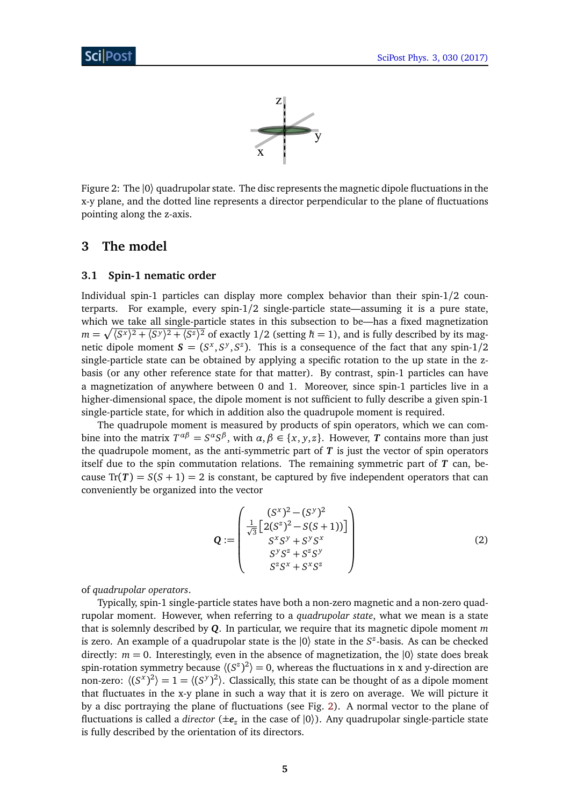

<span id="page-5-2"></span>Figure 2: The |0〉 quadrupolar state. The disc represents the magnetic dipole fluctuations in the x-y plane, and the dotted line represents a director perpendicular to the plane of fluctuations pointing along the z-axis.

# <span id="page-5-0"></span>**3 The model**

#### <span id="page-5-1"></span>**3.1 Spin-1 nematic order**

Individual spin-1 particles can display more complex behavior than their spin-1/2 counterparts. For example, every spin-1/2 single-particle state—assuming it is a pure state, which we take all single-particle states in this subsection to be—has a fixed magnetization  $m = \sqrt{\langle S^x \rangle^2 + \langle S^y \rangle^2 + \langle S^z \rangle^2}$  of exactly 1/2 (setting  $\hbar = 1$ ), and is fully described by its magnetic dipole moment  $S = (S^x, S^y, S^z)$ . This is a consequence of the fact that any spin-1/2 single-particle state can be obtained by applying a specific rotation to the up state in the zbasis (or any other reference state for that matter). By contrast, spin-1 particles can have a magnetization of anywhere between 0 and 1. Moreover, since spin-1 particles live in a higher-dimensional space, the dipole moment is not sufficient to fully describe a given spin-1 single-particle state, for which in addition also the quadrupole moment is required.

The quadrupole moment is measured by products of spin operators, which we can combine into the matrix  $T^{\alpha\beta} = S^{\alpha}S^{\beta}$ , with  $\alpha, \beta \in \{x, y, z\}$ . However, *T* contains more than just the quadrupole moment, as the anti-symmetric part of  $T$  is just the vector of spin operators itself due to the spin commutation relations. The remaining symmetric part of *T* can, because  $Tr(T) = S(S + 1) = 2$  is constant, be captured by five independent operators that can conveniently be organized into the vector

<span id="page-5-3"></span>
$$
\mathbf{Q} := \begin{pmatrix} (S^x)^2 - (S^y)^2 \\ \frac{1}{\sqrt{3}} \left[ 2(S^z)^2 - S(S+1)) \right] \\ S^x S^y + S^y S^x \\ S^y S^z + S^z S^y \\ S^z S^x + S^x S^z \end{pmatrix}
$$
(2)

of *quadrupolar operators*.

Typically, spin-1 single-particle states have both a non-zero magnetic and a non-zero quadrupolar moment. However, when referring to a *quadrupolar state*, what we mean is a state that is solemnly described by *Q*. In particular, we require that its magnetic dipole moment *m* is zero. An example of a quadrupolar state is the |0〉 state in the *S z* -basis. As can be checked directly:  $m = 0$ . Interestingly, even in the absence of magnetization, the  $|0\rangle$  state does break spin-rotation symmetry because  $\langle (S^z)^2 \rangle = 0$ , whereas the fluctuations in x and y-direction are non-zero:  $\langle (S^x)^2 \rangle = 1 = \langle (S^y)^2 \rangle$ . Classically, this state can be thought of as a dipole moment that fluctuates in the x-y plane in such a way that it is zero on average. We will picture it by a disc portraying the plane of fluctuations (see Fig. [2\)](#page-5-2). A normal vector to the plane of fluctuations is called a *director* (±*e<sup>z</sup>* in the case of |0〉). Any quadrupolar single-particle state is fully described by the orientation of its directors.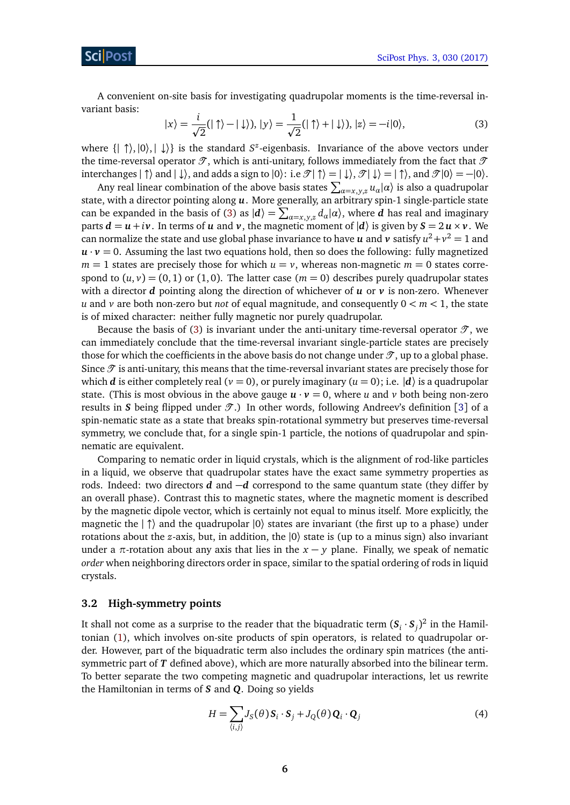A convenient on-site basis for investigating quadrupolar moments is the time-reversal invariant basis:

<span id="page-6-1"></span>
$$
|x\rangle = \frac{i}{\sqrt{2}}(|\uparrow\rangle - |\downarrow\rangle), |y\rangle = \frac{1}{\sqrt{2}}(|\uparrow\rangle + |\downarrow\rangle), |z\rangle = -i|0\rangle,
$$
 (3)

where { $\vert \uparrow\rangle$ ,  $\vert 0\rangle$ ,  $\vert \downarrow\rangle$ } is the standard *S*<sup>*z*</sup>-eigenbasis. Invariance of the above vectors under the time-reversal operator  $\mathcal T$ , which is anti-unitary, follows immediately from the fact that  $\mathcal T$ interchanges  $|\uparrow\rangle$  and  $|\downarrow\rangle$ , and adds a sign to  $|0\rangle$ : i.e  $\mathcal{T}|\uparrow\rangle = |\downarrow\rangle$ ,  $\mathcal{T}|\downarrow\rangle = |\uparrow\rangle$ , and  $\mathcal{T}|0\rangle = -|0\rangle$ .

Any real linear combination of the above basis states  $\sum_{\alpha=x,y,z} u_\alpha |\alpha\rangle$  is also a quadrupolar state, with a director pointing along *u*. More generally, an arbitrary spin-1 single-particle state can be expanded in the basis of [\(3\)](#page-6-1) as  $|d\rangle = \sum_{\alpha=x,y,z} d_{\alpha}|\alpha\rangle$ , where *d* has real and imaginary parts  $d = u + iv$ . In terms of *u* and *v*, the magnetic moment of  $|d\rangle$  is given by  $S = 2u \times v$ . We can normalize the state and use global phase invariance to have  $\boldsymbol{u}$  and  $\boldsymbol{v}$  satisfy  $u^2 + v^2 = 1$  and  $u \cdot v = 0$ . Assuming the last two equations hold, then so does the following: fully magnetized  $m = 1$  states are precisely those for which  $u = v$ , whereas non-magnetic  $m = 0$  states correspond to  $(u, v) = (0, 1)$  or  $(1, 0)$ . The latter case  $(m = 0)$  describes purely quadrupolar states with a director  $d$  pointing along the direction of whichever of  $u$  or  $v$  is non-zero. Whenever *u* and *v* are both non-zero but *not* of equal magnitude, and consequently 0 *< m <* 1, the state is of mixed character: neither fully magnetic nor purely quadrupolar.

Because the basis of [\(3\)](#page-6-1) is invariant under the anti-unitary time-reversal operator  $\mathcal{T}$ , we can immediately conclude that the time-reversal invariant single-particle states are precisely those for which the coefficients in the above basis do not change under  $\mathcal{T}$ , up to a global phase. Since  $\mathcal T$  is anti-unitary, this means that the time-reversal invariant states are precisely those for which *d* is either completely real ( $\nu = 0$ ), or purely imaginary ( $\mu = 0$ ); i.e.  $|d\rangle$  is a quadrupolar state. (This is most obvious in the above gauge  $u \cdot v = 0$ , where *u* and *v* both being non-zero results in *S* being flipped under  $\mathcal{T}$ .) In other words, following Andreev's definition [[3](#page-20-3)] of a spin-nematic state as a state that breaks spin-rotational symmetry but preserves time-reversal symmetry, we conclude that, for a single spin-1 particle, the notions of quadrupolar and spinnematic are equivalent.

Comparing to nematic order in liquid crystals, which is the alignment of rod-like particles in a liquid, we observe that quadrupolar states have the exact same symmetry properties as rods. Indeed: two directors *d* and −*d* correspond to the same quantum state (they differ by an overall phase). Contrast this to magnetic states, where the magnetic moment is described by the magnetic dipole vector, which is certainly not equal to minus itself. More explicitly, the magnetic the  $|\uparrow\rangle$  and the quadrupolar  $|0\rangle$  states are invariant (the first up to a phase) under rotations about the *z*-axis, but, in addition, the |0〉 state is (up to a minus sign) also invariant under a  $\pi$ -rotation about any axis that lies in the  $x - y$  plane. Finally, we speak of nematic *order* when neighboring directors order in space, similar to the spatial ordering of rods in liquid crystals.

#### <span id="page-6-0"></span>**3.2 High-symmetry points**

It shall not come as a surprise to the reader that the biquadratic term  $(\bm{S}_i\cdot\bm{S}_j)^2$  in the Hamiltonian [\(1\)](#page-2-1), which involves on-site products of spin operators, is related to quadrupolar order. However, part of the biquadratic term also includes the ordinary spin matrices (the antisymmetric part of *T* defined above), which are more naturally absorbed into the bilinear term. To better separate the two competing magnetic and quadrupolar interactions, let us rewrite the Hamiltonian in terms of *S* and *Q*. Doing so yields

<span id="page-6-2"></span>
$$
H = \sum_{\langle i,j \rangle} J_S(\theta) \mathbf{S}_i \cdot \mathbf{S}_j + J_Q(\theta) \mathbf{Q}_i \cdot \mathbf{Q}_j
$$
(4)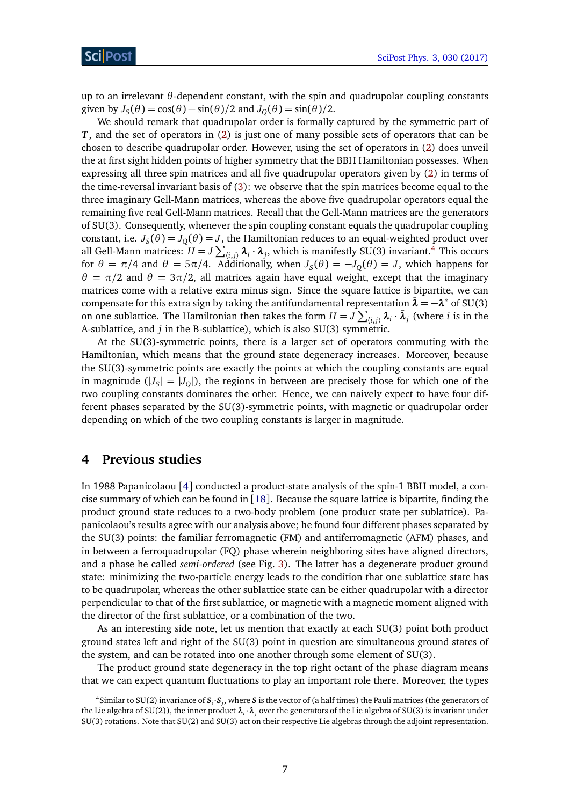up to an irrelevant *θ*-dependent constant, with the spin and quadrupolar coupling constants given by  $J_S(\theta) = \cos(\theta) - \sin(\theta)/2$  and  $J_Q(\theta) = \sin(\theta)/2$ .

We should remark that quadrupolar order is formally captured by the symmetric part of *T*, and the set of operators in [\(2\)](#page-5-3) is just one of many possible sets of operators that can be chosen to describe quadrupolar order. However, using the set of operators in [\(2\)](#page-5-3) does unveil the at first sight hidden points of higher symmetry that the BBH Hamiltonian possesses. When expressing all three spin matrices and all five quadrupolar operators given by [\(2\)](#page-5-3) in terms of the time-reversal invariant basis of [\(3\)](#page-6-1): we observe that the spin matrices become equal to the three imaginary Gell-Mann matrices, whereas the above five quadrupolar operators equal the remaining five real Gell-Mann matrices. Recall that the Gell-Mann matrices are the generators of SU(3). Consequently, whenever the spin coupling constant equals the quadrupolar coupling constant, i.e.  $J_S(\theta)$   $=$   $J_Q(\theta)$   $=$   $J$ , the Hamiltonian reduces to an equal-weighted product over all Gell-Mann matrices:  $H = J \sum_{\langle i,j \rangle} \bm{\lambda}_i \cdot \bm{\lambda}_j,$  which is manifestly SU(3) invariant.<sup>[4](#page-1-0)</sup> This occurs for  $\theta = \pi/4$  and  $\theta = 5\pi/4$ . Additionally, when  $J_S(\theta) = -J_Q(\theta) = J$ , which happens for *θ* =  $π/2$  and *θ* =  $3π/2$ , all matrices again have equal weight, except that the imaginary matrices come with a relative extra minus sign. Since the square lattice is bipartite, we can compensate for this extra sign by taking the antifundamental representation  $\bar{\lambda} = -\lambda^*$  of SU(3) on one sublattice. The Hamiltonian then takes the form  $H = J \sum_{\langle i,j \rangle} \bm{\lambda}_i \cdot \bar{\bm{\lambda}}_j$  (where *i* is in the A-sublattice, and *j* in the B-sublattice), which is also SU(3) symmetric.

At the SU(3)-symmetric points, there is a larger set of operators commuting with the Hamiltonian, which means that the ground state degeneracy increases. Moreover, because the SU(3)-symmetric points are exactly the points at which the coupling constants are equal in magnitude  $(|J_S| = |J_Q|)$ , the regions in between are precisely those for which one of the two coupling constants dominates the other. Hence, we can naively expect to have four different phases separated by the SU(3)-symmetric points, with magnetic or quadrupolar order depending on which of the two coupling constants is larger in magnitude.

## <span id="page-7-0"></span>**4 Previous studies**

In 1988 Papanicolaou [[4](#page-20-4)] conducted a product-state analysis of the spin-1 BBH model, a concise summary of which can be found in  $[18]$  $[18]$  $[18]$ . Because the square lattice is bipartite, finding the product ground state reduces to a two-body problem (one product state per sublattice). Papanicolaou's results agree with our analysis above; he found four different phases separated by the SU(3) points: the familiar ferromagnetic (FM) and antiferromagnetic (AFM) phases, and in between a ferroquadrupolar (FQ) phase wherein neighboring sites have aligned directors, and a phase he called *semi-ordered* (see Fig. [3\)](#page-8-0). The latter has a degenerate product ground state: minimizing the two-particle energy leads to the condition that one sublattice state has to be quadrupolar, whereas the other sublattice state can be either quadrupolar with a director perpendicular to that of the first sublattice, or magnetic with a magnetic moment aligned with the director of the first sublattice, or a combination of the two.

As an interesting side note, let us mention that exactly at each SU(3) point both product ground states left and right of the SU(3) point in question are simultaneous ground states of the system, and can be rotated into one another through some element of SU(3).

The product ground state degeneracy in the top right octant of the phase diagram means that we can expect quantum fluctuations to play an important role there. Moreover, the types

<sup>&</sup>lt;sup>4</sup>Similar to SU(2) invariance of  $S_i \cdot S_j$ , where *S* is the vector of (a half times) the Pauli matrices (the generators of the Lie algebra of SU(2)), the inner product *λ<sup>i</sup>* ·*λ<sup>j</sup>* over the generators of the Lie algebra of SU(3) is invariant under SU(3) rotations. Note that SU(2) and SU(3) act on their respective Lie algebras through the adjoint representation.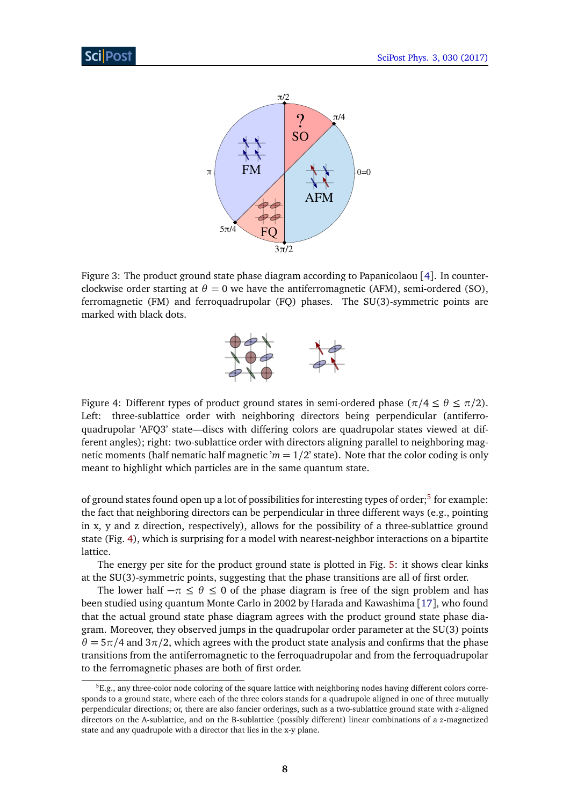

<span id="page-8-0"></span>Figure 3: The product ground state phase diagram according to Papanicolaou [[4](#page-20-4)]. In counterclockwise order starting at  $\theta = 0$  we have the antiferromagnetic (AFM), semi-ordered (SO), ferromagnetic (FM) and ferroquadrupolar (FQ) phases. The SU(3)-symmetric points are marked with black dots.



<span id="page-8-1"></span>Figure 4: Different types of product ground states in semi-ordered phase ( $\pi/4 \le \theta \le \pi/2$ ). Left: three-sublattice order with neighboring directors being perpendicular (antiferroquadrupolar 'AFQ3' state—discs with differing colors are quadrupolar states viewed at different angles); right: two-sublattice order with directors aligning parallel to neighboring magnetic moments (half nematic half magnetic  $m = 1/2$  state). Note that the color coding is only meant to highlight which particles are in the same quantum state.

of ground states found open up a lot of possibilities for interesting types of order;<sup>[5](#page-1-0)</sup> for example: the fact that neighboring directors can be perpendicular in three different ways (e.g., pointing in x, y and z direction, respectively), allows for the possibility of a three-sublattice ground state (Fig. [4\)](#page-8-1), which is surprising for a model with nearest-neighbor interactions on a bipartite lattice.

The energy per site for the product ground state is plotted in Fig. [5:](#page-9-2) it shows clear kinks at the SU(3)-symmetric points, suggesting that the phase transitions are all of first order.

The lower half  $-\pi \leq \theta \leq 0$  of the phase diagram is free of the sign problem and has been studied using quantum Monte Carlo in 2002 by Harada and Kawashima [[17](#page-21-8)], who found that the actual ground state phase diagram agrees with the product ground state phase diagram. Moreover, they observed jumps in the quadrupolar order parameter at the SU(3) points  $\theta = 5\pi/4$  and  $3\pi/2$ , which agrees with the product state analysis and confirms that the phase transitions from the antiferromagnetic to the ferroquadrupolar and from the ferroquadrupolar to the ferromagnetic phases are both of first order.

 ${}^5E.g.,$  any three-color node coloring of the square lattice with neighboring nodes having different colors corresponds to a ground state, where each of the three colors stands for a quadrupole aligned in one of three mutually perpendicular directions; or, there are also fancier orderings, such as a two-sublattice ground state with *z*-aligned directors on the A-sublattice, and on the B-sublattice (possibly different) linear combinations of a *z*-magnetized state and any quadrupole with a director that lies in the x-y plane.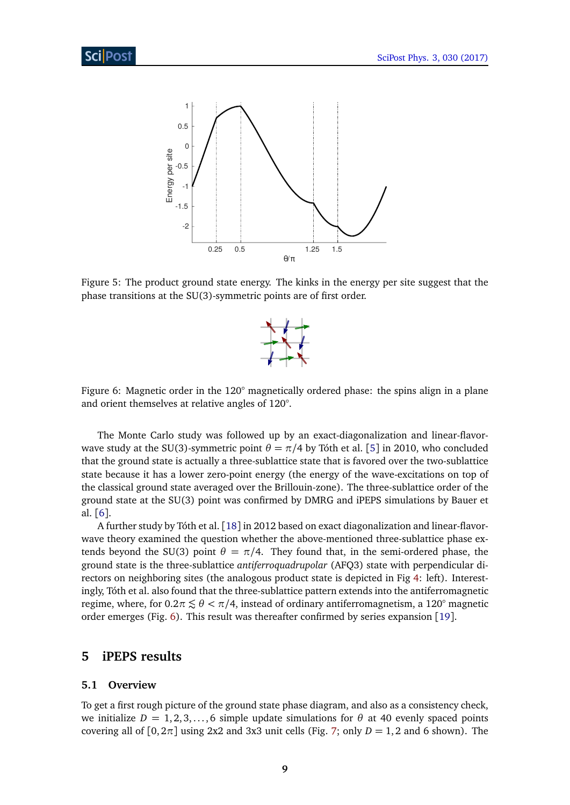

<span id="page-9-2"></span>Figure 5: The product ground state energy. The kinks in the energy per site suggest that the phase transitions at the SU(3)-symmetric points are of first order.



<span id="page-9-3"></span>Figure 6: Magnetic order in the 120° magnetically ordered phase: the spins align in a plane and orient themselves at relative angles of 120°.

The Monte Carlo study was followed up by an exact-diagonalization and linear-flavorwave study at the SU(3)-symmetric point  $\theta = \pi/4$  by Tóth et al. [[5](#page-21-0)] in 2010, who concluded that the ground state is actually a three-sublattice state that is favored over the two-sublattice state because it has a lower zero-point energy (the energy of the wave-excitations on top of the classical ground state averaged over the Brillouin-zone). The three-sublattice order of the ground state at the SU(3) point was confirmed by DMRG and iPEPS simulations by Bauer et al. [[6](#page-21-1)].

A further study by Tóth et al. [[18](#page-21-9)] in 2012 based on exact diagonalization and linear-flavorwave theory examined the question whether the above-mentioned three-sublattice phase extends beyond the SU(3) point  $\theta = \pi/4$ . They found that, in the semi-ordered phase, the ground state is the three-sublattice *antiferroquadrupolar* (AFQ3) state with perpendicular directors on neighboring sites (the analogous product state is depicted in Fig [4:](#page-8-1) left). Interestingly, Tóth et al. also found that the three-sublattice pattern extends into the antiferromagnetic regime, where, for  $0.2\pi \lesssim \theta < \pi/4$ , instead of ordinary antiferromagnetism, a 120<sup>°</sup> magnetic order emerges (Fig. [6\)](#page-9-3). This result was thereafter confirmed by series expansion [[19](#page-21-10)].

# <span id="page-9-0"></span>**5 iPEPS results**

#### <span id="page-9-1"></span>**5.1 Overview**

To get a first rough picture of the ground state phase diagram, and also as a consistency check, we initialize  $D = 1, 2, 3, \ldots, 6$  simple update simulations for  $\theta$  at 40 evenly spaced points covering all of  $[0, 2\pi]$  using 2x2 and 3x3 unit cells (Fig. [7;](#page-11-3) only  $D = 1, 2$  and 6 shown). The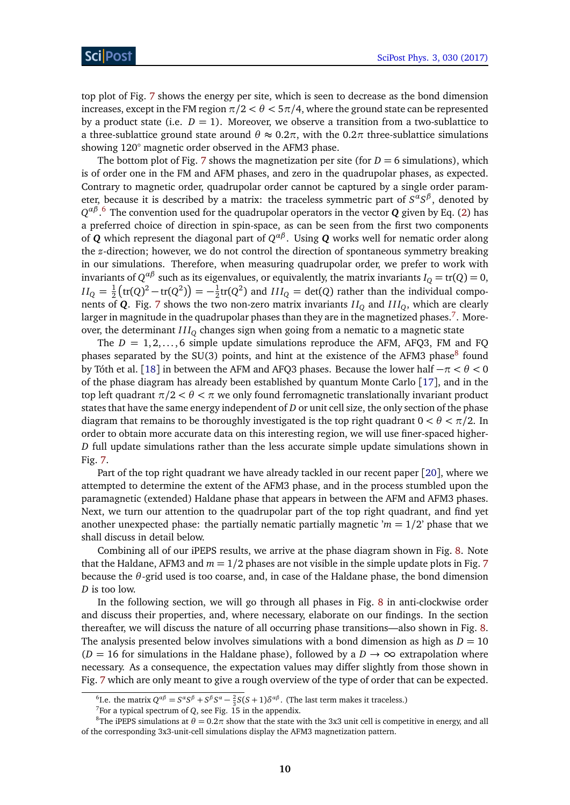top plot of Fig. [7](#page-11-3) shows the energy per site, which is seen to decrease as the bond dimension increases, except in the FM region  $\pi/2 < \theta < \pi/4$ , where the ground state can be represented by a product state (i.e.  $D = 1$ ). Moreover, we observe a transition from a two-sublattice to a three-sublattice ground state around  $\theta \approx 0.2\pi$ , with the 0.2 $\pi$  three-sublattice simulations showing 120° magnetic order observed in the AFM3 phase.

The bottom plot of Fig. [7](#page-11-3) shows the magnetization per site (for  $D = 6$  simulations), which is of order one in the FM and AFM phases, and zero in the quadrupolar phases, as expected. Contrary to magnetic order, quadrupolar order cannot be captured by a single order parameter, because it is described by a matrix: the traceless symmetric part of *S αS β* , denoted by *Q αβ* . [6](#page-1-0) The convention used for the quadrupolar operators in the vector *Q* given by Eq. [\(2\)](#page-5-3) has a preferred choice of direction in spin-space, as can be seen from the first two components of  $Q$  which represent the diagonal part of  $Q^{\alpha\beta}$ . Using  $Q$  works well for nematic order along the *z*-direction; however, we do not control the direction of spontaneous symmetry breaking in our simulations. Therefore, when measuring quadrupolar order, we prefer to work with invariants of  $Q^{\alpha\beta}$  such as its eigenvalues, or equivalently, the matrix invariants  $I_Q = \text{tr}(Q) = 0$ ,  $II_Q = \frac{1}{2}$  $\frac{1}{2}$  $\left(\text{tr}(Q)^2 - \text{tr}(Q^2)\right) = -\frac{1}{2}$  $\frac{1}{2}$ tr(*Q*<sup>2</sup>) and *III<sub>Q</sub>* = det(*Q*) rather than the individual components of *Q*. Fig. [7](#page-11-3) shows the two non-zero matrix invariants  $II_0$  and  $III_0$ , which are clearly larger in magnitude in the quadrupolar phases than they are in the magnetized phases. $^7$  $^7$ . Moreover, the determinant *I I I<sup>Q</sup>* changes sign when going from a nematic to a magnetic state

The  $D = 1, 2, \ldots, 6$  simple update simulations reproduce the AFM, AFQ3, FM and FQ phases separated by the SU(3) points, and hint at the existence of the AFM3 phase<sup>[8](#page-1-0)</sup> found by Tóth et al. [[18](#page-21-9)] in between the AFM and AFQ3 phases. Because the lower half −*π < θ <* 0 of the phase diagram has already been established by quantum Monte Carlo [[17](#page-21-8)], and in the top left quadrant  $\pi/2 < \theta < \pi$  we only found ferromagnetic translationally invariant product states that have the same energy independent of *D* or unit cell size, the only section of the phase diagram that remains to be thoroughly investigated is the top right quadrant 0 *< θ < π/*2. In order to obtain more accurate data on this interesting region, we will use finer-spaced higher-*D* full update simulations rather than the less accurate simple update simulations shown in Fig. [7.](#page-11-3)

Part of the top right quadrant we have already tackled in our recent paper [[20](#page-22-0)], where we attempted to determine the extent of the AFM3 phase, and in the process stumbled upon the paramagnetic (extended) Haldane phase that appears in between the AFM and AFM3 phases. Next, we turn our attention to the quadrupolar part of the top right quadrant, and find yet another unexpected phase: the partially nematic partially magnetic  $m = 1/2$  phase that we shall discuss in detail below.

Combining all of our iPEPS results, we arrive at the phase diagram shown in Fig. [8.](#page-12-0) Note that the Haldane, AFM3 and  $m = 1/2$  phases are not visible in the simple update plots in Fig. [7](#page-11-3) because the *θ*-grid used is too coarse, and, in case of the Haldane phase, the bond dimension *D* is too low.

In the following section, we will go through all phases in Fig. [8](#page-12-0) in anti-clockwise order and discuss their properties, and, where necessary, elaborate on our findings. In the section thereafter, we will discuss the nature of all occurring phase transitions—also shown in Fig. [8.](#page-12-0) The analysis presented below involves simulations with a bond dimension as high as  $D = 10$  $(D = 16$  for simulations in the Haldane phase), followed by a  $D \rightarrow \infty$  extrapolation where necessary. As a consequence, the expectation values may differ slightly from those shown in Fig. [7](#page-11-3) which are only meant to give a rough overview of the type of order that can be expected.

<sup>&</sup>lt;sup>6</sup>I.e. the matrix  $Q^{\alpha\beta} = S^{\alpha}S^{\beta} + S^{\beta}S^{\alpha} - \frac{2}{3}S(S+1)\delta^{\alpha\beta}$ . (The last term makes it traceless.)

<sup>&</sup>lt;sup>7</sup>For a typical spectrum of *Q*, see Fig.  $15$  in the appendix.

<sup>&</sup>lt;sup>8</sup>The iPEPS simulations at  $\theta = 0.2\pi$  show that the state with the 3x3 unit cell is competitive in energy, and all of the corresponding 3x3-unit-cell simulations display the AFM3 magnetization pattern.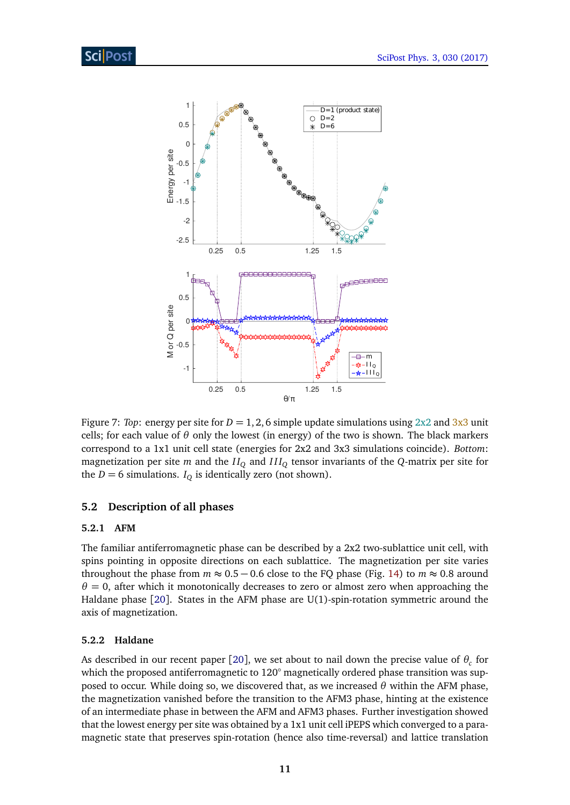

<span id="page-11-3"></span>Figure 7: *Top*: energy per site for  $D = 1, 2, 6$  simple update simulations using  $2x2$  and  $3x3$  unit cells; for each value of  $\theta$  only the lowest (in energy) of the two is shown. The black markers correspond to a 1x1 unit cell state (energies for 2x2 and 3x3 simulations coincide). *Bottom*: magnetization per site *m* and the  $II_Q$  and  $III_Q$  tensor invariants of the *Q*-matrix per site for the *D* = 6 simulations. *I*<sub>Q</sub> is identically zero (not shown).

### <span id="page-11-0"></span>**5.2 Description of all phases**

#### <span id="page-11-1"></span>**5.2.1 AFM**

The familiar antiferromagnetic phase can be described by a 2x2 two-sublattice unit cell, with spins pointing in opposite directions on each sublattice. The magnetization per site varies throughout the phase from  $m \approx 0.5 - 0.6$  close to the FQ phase (Fig. [14\)](#page-19-0) to  $m \approx 0.8$  around  $\theta = 0$ , after which it monotonically decreases to zero or almost zero when approaching the Haldane phase [[20](#page-22-0)]. States in the AFM phase are U(1)-spin-rotation symmetric around the axis of magnetization.

#### <span id="page-11-2"></span>**5.2.2 Haldane**

As described in our recent paper [[20](#page-22-0)], we set about to nail down the precise value of  $\theta_c$  for which the proposed antiferromagnetic to 120° magnetically ordered phase transition was supposed to occur. While doing so, we discovered that, as we increased  $\theta$  within the AFM phase, the magnetization vanished before the transition to the AFM3 phase, hinting at the existence of an intermediate phase in between the AFM and AFM3 phases. Further investigation showed that the lowest energy per site was obtained by a 1x1 unit cell iPEPS which converged to a paramagnetic state that preserves spin-rotation (hence also time-reversal) and lattice translation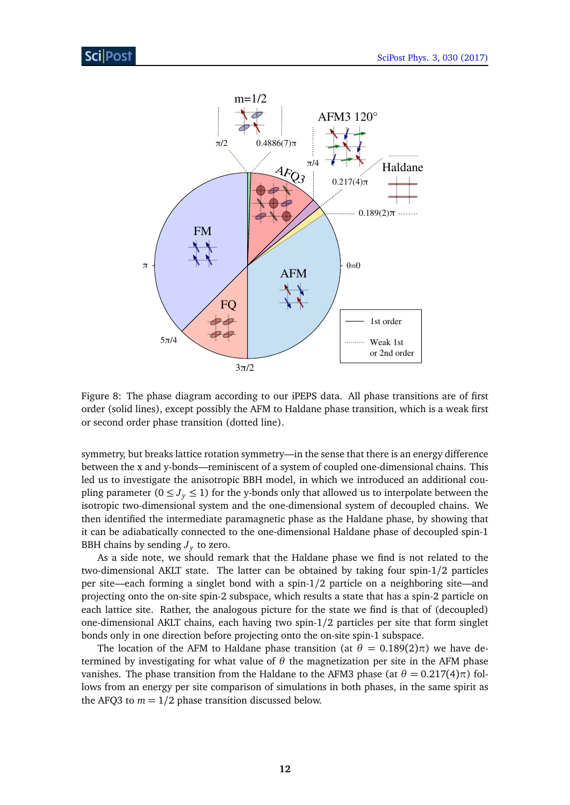

<span id="page-12-0"></span>Figure 8: The phase diagram according to our iPEPS data. All phase transitions are of first order (solid lines), except possibly the AFM to Haldane phase transition, which is a weak first or second order phase transition (dotted line).

symmetry, but breaks lattice rotation symmetry—in the sense that there is an energy difference between the x and y-bonds—reminiscent of a system of coupled one-dimensional chains. This led us to investigate the anisotropic BBH model, in which we introduced an additional coupling parameter ( $0 \leq J_{\gamma} \leq 1$ ) for the y-bonds only that allowed us to interpolate between the isotropic two-dimensional system and the one-dimensional system of decoupled chains. We then identified the intermediate paramagnetic phase as the Haldane phase, by showing that it can be adiabatically connected to the one-dimensional Haldane phase of decoupled spin-1 BBH chains by sending  $J_y$  to zero.

As a side note, we should remark that the Haldane phase we find is not related to the two-dimensional AKLT state. The latter can be obtained by taking four spin-1/2 particles per site—each forming a singlet bond with a spin-1/2 particle on a neighboring site—and projecting onto the on-site spin-2 subspace, which results a state that has a spin-2 particle on each lattice site. Rather, the analogous picture for the state we find is that of (decoupled) one-dimensional AKLT chains, each having two spin-1/2 particles per site that form singlet bonds only in one direction before projecting onto the on-site spin-1 subspace.

The location of the AFM to Haldane phase transition (at  $\theta = 0.189(2)\pi$ ) we have determined by investigating for what value of  $\theta$  the magnetization per site in the AFM phase vanishes. The phase transition from the Haldane to the AFM3 phase (at  $θ = 0.217(4)π$ ) follows from an energy per site comparison of simulations in both phases, in the same spirit as the AFQ3 to  $m = 1/2$  phase transition discussed below.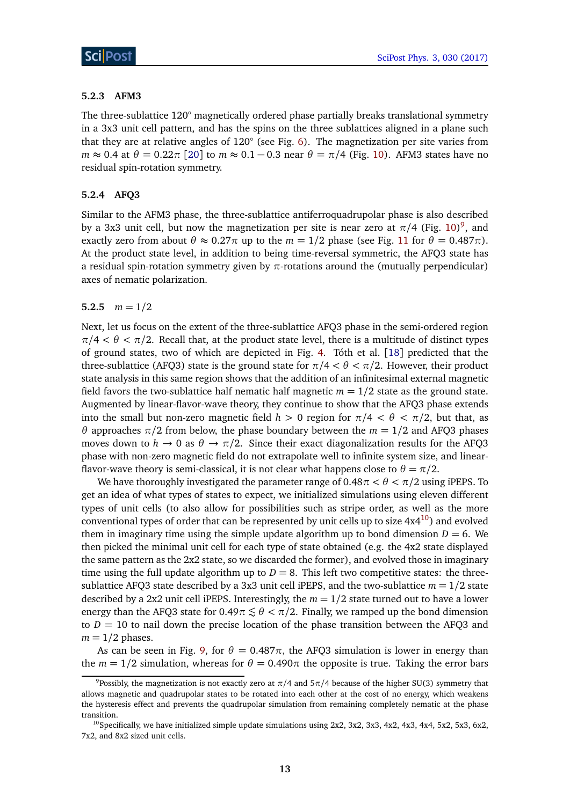#### <span id="page-13-0"></span>**5.2.3 AFM3**

The three-sublattice 120° magnetically ordered phase partially breaks translational symmetry in a 3x3 unit cell pattern, and has the spins on the three sublattices aligned in a plane such that they are at relative angles of 120° (see Fig. [6\)](#page-9-3). The magnetization per site varies from  $m \approx 0.4$  at  $\theta = 0.22\pi$  [[20](#page-22-0)] to  $m \approx 0.1 - 0.3$  near  $\theta = \pi/4$  (Fig. [10\)](#page-16-2). AFM3 states have no residual spin-rotation symmetry.

### <span id="page-13-1"></span>**5.2.4 AFQ3**

Similar to the AFM3 phase, the three-sublattice antiferroquadrupolar phase is also described by a 3x3 unit cell, but now the magnetization per site is near zero at  $\pi/4$  (Fig. [10\)](#page-16-2)<sup>[9](#page-1-0)</sup>, and exactly zero from about  $θ \approx 0.27π$  up to the  $m = 1/2$  phase (see Fig. [11](#page-17-1) for  $θ = 0.487π$ ). At the product state level, in addition to being time-reversal symmetric, the AFQ3 state has a residual spin-rotation symmetry given by *π*-rotations around the (mutually perpendicular) axes of nematic polarization.

#### <span id="page-13-2"></span>5.2.5  $m = 1/2$

Next, let us focus on the extent of the three-sublattice AFQ3 phase in the semi-ordered region  $\pi/4 < \theta < \pi/2$ . Recall that, at the product state level, there is a multitude of distinct types of ground states, two of which are depicted in Fig. [4.](#page-8-1) Tóth et al. [[18](#page-21-9)] predicted that the three-sublattice (AFQ3) state is the ground state for  $\pi/4 < \theta < \pi/2$ . However, their product state analysis in this same region shows that the addition of an infinitesimal external magnetic field favors the two-sublattice half nematic half magnetic  $m = 1/2$  state as the ground state. Augmented by linear-flavor-wave theory, they continue to show that the AFQ3 phase extends into the small but non-zero magnetic field  $h > 0$  region for  $\pi/4 < \theta < \pi/2$ , but that, as *θ* approaches  $π/2$  from below, the phase boundary between the  $m = 1/2$  and AFQ3 phases moves down to  $h \to 0$  as  $\theta \to \pi/2$ . Since their exact diagonalization results for the AFQ3 phase with non-zero magnetic field do not extrapolate well to infinite system size, and linearflavor-wave theory is semi-classical, it is not clear what happens close to  $\theta = \pi/2$ .

We have thoroughly investigated the parameter range of  $0.48\pi < \theta < \pi/2$  using iPEPS. To get an idea of what types of states to expect, we initialized simulations using eleven different types of unit cells (to also allow for possibilities such as stripe order, as well as the more conventional types of order that can be represented by unit cells up to size  $4x4^{10}$  $4x4^{10}$  $4x4^{10}$ ) and evolved them in imaginary time using the simple update algorithm up to bond dimension  $D = 6$ . We then picked the minimal unit cell for each type of state obtained (e.g. the 4x2 state displayed the same pattern as the 2x2 state, so we discarded the former), and evolved those in imaginary time using the full update algorithm up to  $D = 8$ . This left two competitive states: the threesublattice AFQ3 state described by a 3x3 unit cell iPEPS, and the two-sublattice  $m = 1/2$  state described by a 2x2 unit cell iPEPS. Interestingly, the  $m = 1/2$  state turned out to have a lower energy than the AFQ3 state for  $0.49\pi \lesssim \theta < \pi/2$ . Finally, we ramped up the bond dimension to  $D = 10$  to nail down the precise location of the phase transition between the AFQ3 and  $m = 1/2$  phases.

As can be seen in Fig. [9,](#page-14-2) for  $\theta = 0.487\pi$ , the AFQ3 simulation is lower in energy than the  $m = 1/2$  simulation, whereas for  $\theta = 0.490\pi$  the opposite is true. Taking the error bars

<sup>9</sup>Possibly, the magnetization is not exactly zero at *π/*4 and 5*π/*4 because of the higher SU(3) symmetry that allows magnetic and quadrupolar states to be rotated into each other at the cost of no energy, which weakens the hysteresis effect and prevents the quadrupolar simulation from remaining completely nematic at the phase transition.

<sup>&</sup>lt;sup>10</sup>Specifically, we have initialized simple update simulations using 2x2, 3x2, 3x3, 4x2, 4x3, 4x4, 5x2, 5x3, 6x2, 7x2, and 8x2 sized unit cells.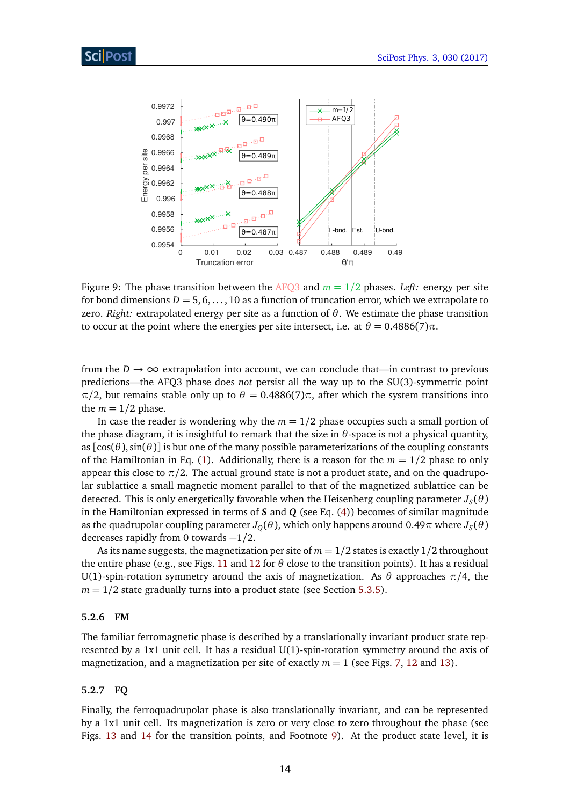

<span id="page-14-2"></span>Figure 9: The phase transition between the AFQ3 and  $m = 1/2$  phases. *Left:* energy per site for bond dimensions  $D = 5, 6, \ldots, 10$  as a function of truncation error, which we extrapolate to zero. *Right:* extrapolated energy per site as a function of *θ*. We estimate the phase transition to occur at the point where the energies per site intersect, i.e. at  $θ = 0.4886(7)π$ .

from the  $D \to \infty$  extrapolation into account, we can conclude that—in contrast to previous predictions—the AFQ3 phase does *not* persist all the way up to the SU(3)-symmetric point *π*/2, but remains stable only up to  $\theta = 0.4886(7)\pi$ , after which the system transitions into the  $m = 1/2$  phase.

In case the reader is wondering why the  $m = 1/2$  phase occupies such a small portion of the phase diagram, it is insightful to remark that the size in  $\theta$ -space is not a physical quantity, as  $[\cos(\theta), \sin(\theta)]$  is but one of the many possible parameterizations of the coupling constants of the Hamiltonian in Eq. [\(1\)](#page-2-1). Additionally, there is a reason for the  $m = 1/2$  phase to only appear this close to  $\pi/2$ . The actual ground state is not a product state, and on the quadrupolar sublattice a small magnetic moment parallel to that of the magnetized sublattice can be detected. This is only energetically favorable when the Heisenberg coupling parameter  $J_S(\theta)$ in the Hamiltonian expressed in terms of *S* and *Q* (see Eq. [\(4\)](#page-6-2)) becomes of similar magnitude as the quadrupolar coupling parameter  $J_Q(\theta)$ , which only happens around 0.49 $\pi$  where  $J_S(\theta)$ decreases rapidly from 0 towards −1*/*2.

As its name suggests, the magnetization per site of *m* = 1*/*2 states is exactly 1/2 throughout the entire phase (e.g., see Figs. [11](#page-17-1) and [12](#page-17-2) for  $\theta$  close to the transition points). It has a residual U(1)-spin-rotation symmetry around the axis of magnetization. As  $\theta$  approaches  $\pi/4$ , the  $m = 1/2$  state gradually turns into a product state (see Section [5.3.5\)](#page-16-1).

#### <span id="page-14-0"></span>**5.2.6 FM**

The familiar ferromagnetic phase is described by a translationally invariant product state represented by a 1x1 unit cell. It has a residual U(1)-spin-rotation symmetry around the axis of magnetization, and a magnetization per site of exactly  $m = 1$  (see Figs. [7,](#page-11-3) [12](#page-17-2) and [13\)](#page-18-2).

#### <span id="page-14-1"></span>**5.2.7 FQ**

Finally, the ferroquadrupolar phase is also translationally invariant, and can be represented by a 1x1 unit cell. Its magnetization is zero or very close to zero throughout the phase (see Figs. [13](#page-18-2) and [14](#page-19-0) for the transition points, and Footnote [9\)](#page-13-1). At the product state level, it is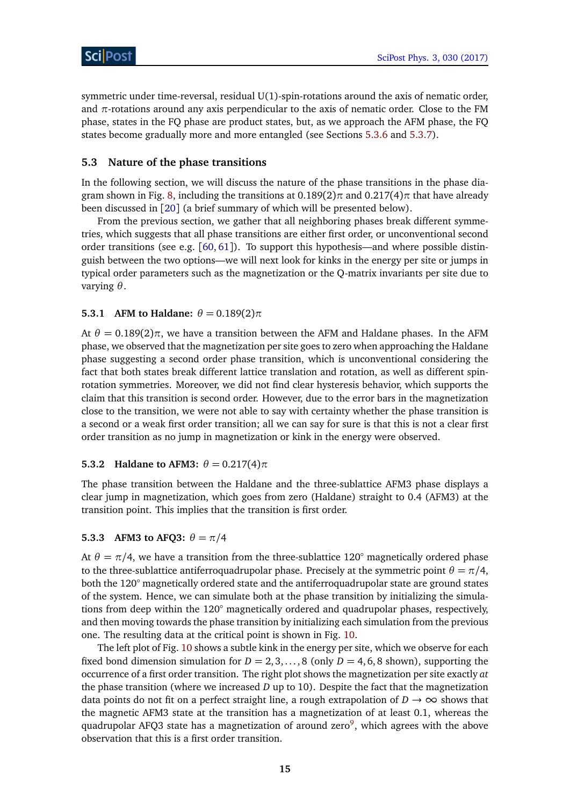symmetric under time-reversal, residual U(1)-spin-rotations around the axis of nematic order, and  $\pi$ -rotations around any axis perpendicular to the axis of nematic order. Close to the FM phase, states in the FQ phase are product states, but, as we approach the AFM phase, the FQ states become gradually more and more entangled (see Sections [5.3.6](#page-17-0) and [5.3.7\)](#page-18-0).

### <span id="page-15-0"></span>**5.3 Nature of the phase transitions**

In the following section, we will discuss the nature of the phase transitions in the phase diagram shown in Fig. [8,](#page-12-0) including the transitions at 0.189(2)*π* and 0.217(4)*π* that have already been discussed in [[20](#page-22-0)] (a brief summary of which will be presented below).

From the previous section, we gather that all neighboring phases break different symmetries, which suggests that all phase transitions are either first order, or unconventional second order transitions (see e.g.  $[60, 61]$  $[60, 61]$  $[60, 61]$  $[60, 61]$  $[60, 61]$ ). To support this hypothesis—and where possible distinguish between the two options—we will next look for kinks in the energy per site or jumps in typical order parameters such as the magnetization or the Q-matrix invariants per site due to varying *θ*.

#### <span id="page-15-1"></span>**5.3.1 AFM to Haldane:**  $\theta = 0.189(2)\pi$

At  $\theta = 0.189(2)\pi$ , we have a transition between the AFM and Haldane phases. In the AFM phase, we observed that the magnetization per site goes to zero when approaching the Haldane phase suggesting a second order phase transition, which is unconventional considering the fact that both states break different lattice translation and rotation, as well as different spinrotation symmetries. Moreover, we did not find clear hysteresis behavior, which supports the claim that this transition is second order. However, due to the error bars in the magnetization close to the transition, we were not able to say with certainty whether the phase transition is a second or a weak first order transition; all we can say for sure is that this is not a clear first order transition as no jump in magnetization or kink in the energy were observed.

#### <span id="page-15-2"></span>**5.3.2 Haldane to AFM3:**  $\theta = 0.217(4)\pi$

The phase transition between the Haldane and the three-sublattice AFM3 phase displays a clear jump in magnetization, which goes from zero (Haldane) straight to 0.4 (AFM3) at the transition point. This implies that the transition is first order.

#### <span id="page-15-3"></span>**5.3.3 AFM3 to AFQ3:**  $\theta = \pi/4$

At  $\theta = \pi/4$ , we have a transition from the three-sublattice 120° magnetically ordered phase to the three-sublattice antiferroquadrupolar phase. Precisely at the symmetric point  $\theta = \pi/4$ , both the 120° magnetically ordered state and the antiferroquadrupolar state are ground states of the system. Hence, we can simulate both at the phase transition by initializing the simulations from deep within the 120° magnetically ordered and quadrupolar phases, respectively, and then moving towards the phase transition by initializing each simulation from the previous one. The resulting data at the critical point is shown in Fig. [10.](#page-16-2)

The left plot of Fig. [10](#page-16-2) shows a subtle kink in the energy per site, which we observe for each fixed bond dimension simulation for  $D = 2, 3, ..., 8$  (only  $D = 4, 6, 8$  shown), supporting the occurrence of a first order transition. The right plot shows the magnetization per site exactly *at* the phase transition (where we increased *D* up to 10). Despite the fact that the magnetization data points do not fit on a perfect straight line, a rough extrapolation of  $D \rightarrow \infty$  shows that the magnetic AFM3 state at the transition has a magnetization of at least 0.1, whereas the quadrupolar AFQ3 state has a magnetization of around zero $^9$  $^9$ , which agrees with the above observation that this is a first order transition.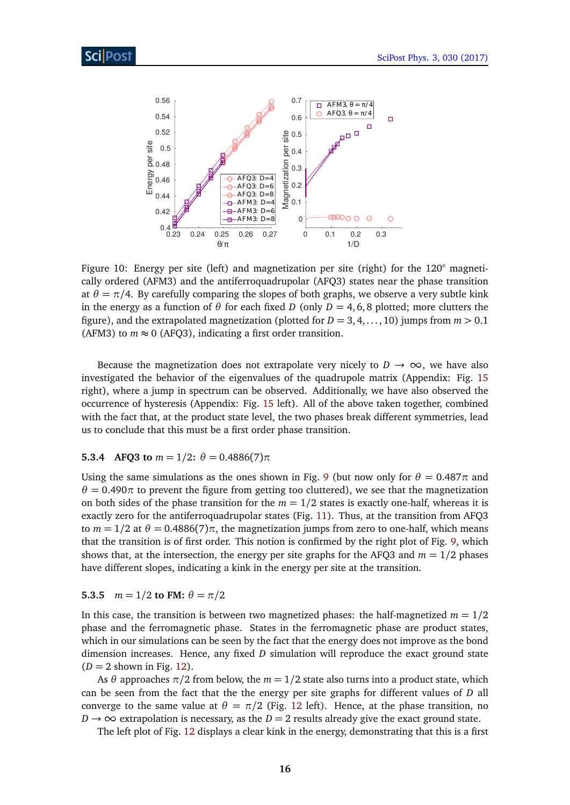

<span id="page-16-2"></span>Figure 10: Energy per site (left) and magnetization per site (right) for the 120° magnetically ordered (AFM3) and the antiferroquadrupolar (AFQ3) states near the phase transition at  $\theta = \pi/4$ . By carefully comparing the slopes of both graphs, we observe a very subtle kink in the energy as a function of  $\theta$  for each fixed *D* (only  $D = 4, 6, 8$  plotted; more clutters the figure), and the extrapolated magnetization (plotted for  $D = 3, 4, \ldots, 10$ ) jumps from  $m > 0.1$ (AFM3) to  $m \approx 0$  (AFQ3), indicating a first order transition.

Because the magnetization does not extrapolate very nicely to  $D \to \infty$ , we have also investigated the behavior of the eigenvalues of the quadrupole matrix (Appendix: Fig. [15](#page-20-5) right), where a jump in spectrum can be observed. Additionally, we have also observed the occurrence of hysteresis (Appendix: Fig. [15](#page-20-5) left). All of the above taken together, combined with the fact that, at the product state level, the two phases break different symmetries, lead us to conclude that this must be a first order phase transition.

#### <span id="page-16-0"></span>**5.3.4 AFQ3 to**  $m = 1/2$ **:**  $\theta = 0.4886(7)\pi$

Using the same simulations as the ones shown in Fig. [9](#page-14-2) (but now only for  $\theta = 0.487\pi$  and  $\theta = 0.490\pi$  to prevent the figure from getting too cluttered), we see that the magnetization on both sides of the phase transition for the  $m = 1/2$  states is exactly one-half, whereas it is exactly zero for the antiferroquadrupolar states (Fig. [11\)](#page-17-1). Thus, at the transition from AFQ3 to  $m = 1/2$  at  $\theta = 0.4886(7)\pi$ , the magnetization jumps from zero to one-half, which means that the transition is of first order. This notion is confirmed by the right plot of Fig. [9,](#page-14-2) which shows that, at the intersection, the energy per site graphs for the AFQ3 and  $m = 1/2$  phases have different slopes, indicating a kink in the energy per site at the transition.

#### <span id="page-16-1"></span>**5.3.5**  $m = 1/2$  **to FM:**  $\theta = \pi/2$

In this case, the transition is between two magnetized phases: the half-magnetized  $m = 1/2$ phase and the ferromagnetic phase. States in the ferromagnetic phase are product states, which in our simulations can be seen by the fact that the energy does not improve as the bond dimension increases. Hence, any fixed *D* simulation will reproduce the exact ground state  $(D = 2$  shown in Fig. [12\)](#page-17-2).

As  $\theta$  approaches  $\pi/2$  from below, the  $m = 1/2$  state also turns into a product state, which can be seen from the fact that the the energy per site graphs for different values of *D* all converge to the same value at  $\theta = \pi/2$  (Fig. [12](#page-17-2) left). Hence, at the phase transition, no  $D \rightarrow \infty$  extrapolation is necessary, as the  $D = 2$  results already give the exact ground state.

The left plot of Fig. [12](#page-17-2) displays a clear kink in the energy, demonstrating that this is a first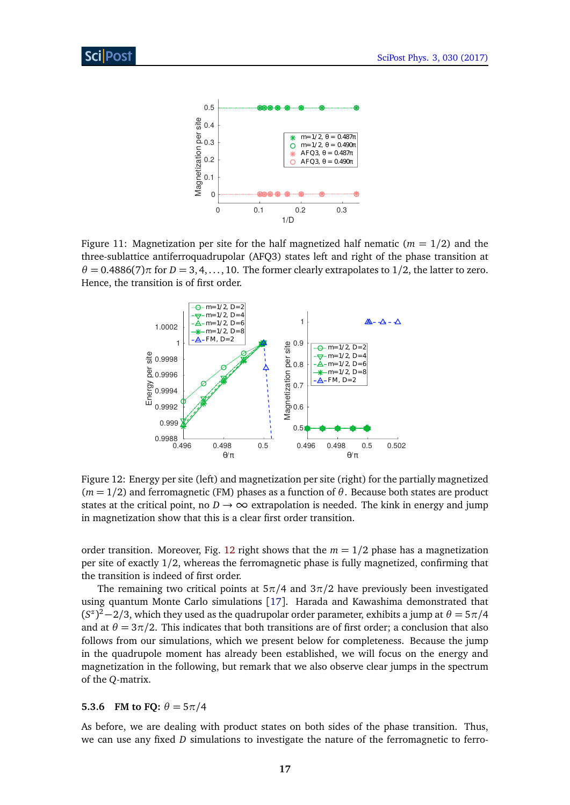

<span id="page-17-1"></span>Figure 11: Magnetization per site for the half magnetized half nematic ( $m = 1/2$ ) and the three-sublattice antiferroquadrupolar (AFQ3) states left and right of the phase transition at  $\theta = 0.4886(7)\pi$  for  $D = 3, 4, \ldots, 10$ . The former clearly extrapolates to 1/2, the latter to zero. Hence, the transition is of first order.



<span id="page-17-2"></span>Figure 12: Energy per site (left) and magnetization per site (right) for the partially magnetized  $(m = 1/2)$  and ferromagnetic (FM) phases as a function of  $\theta$ . Because both states are product states at the critical point, no  $D \rightarrow \infty$  extrapolation is needed. The kink in energy and jump in magnetization show that this is a clear first order transition.

order transition. Moreover, Fig. [12](#page-17-2) right shows that the  $m = 1/2$  phase has a magnetization per site of exactly 1/2, whereas the ferromagnetic phase is fully magnetized, confirming that the transition is indeed of first order.

The remaining two critical points at 5*π/*4 and 3*π/*2 have previously been investigated using quantum Monte Carlo simulations [[17](#page-21-8)]. Harada and Kawashima demonstrated that  $(S^z)^2 - 2/3$ , which they used as the quadrupolar order parameter, exhibits a jump at  $\theta = 5\pi/4$ and at  $\theta = 3\pi/2$ . This indicates that both transitions are of first order; a conclusion that also follows from our simulations, which we present below for completeness. Because the jump in the quadrupole moment has already been established, we will focus on the energy and magnetization in the following, but remark that we also observe clear jumps in the spectrum of the *Q*-matrix.

#### <span id="page-17-0"></span>**5.3.6 FM to FO:**  $\theta = 5\pi/4$

As before, we are dealing with product states on both sides of the phase transition. Thus, we can use any fixed *D* simulations to investigate the nature of the ferromagnetic to ferro-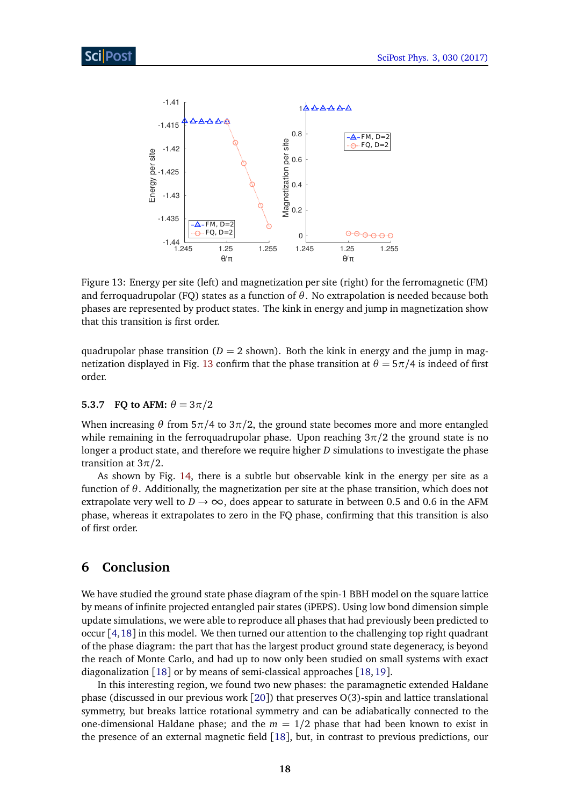

<span id="page-18-2"></span>Figure 13: Energy per site (left) and magnetization per site (right) for the ferromagnetic (FM) and ferroquadrupolar (FQ) states as a function of  $\theta$ . No extrapolation is needed because both phases are represented by product states. The kink in energy and jump in magnetization show that this transition is first order.

quadrupolar phase transition ( $D = 2$  shown). Both the kink in energy and the jump in mag-netization displayed in Fig. [13](#page-18-2) confirm that the phase transition at  $\theta = 5\pi/4$  is indeed of first order.

#### <span id="page-18-0"></span>**5.3.7 FQ to AFM:**  $\theta = 3\pi/2$

When increasing  $\theta$  from 5 $\pi$ /4 to 3 $\pi$ /2, the ground state becomes more and more entangled while remaining in the ferroquadrupolar phase. Upon reaching  $3\pi/2$  the ground state is no longer a product state, and therefore we require higher *D* simulations to investigate the phase transition at 3*π/*2.

As shown by Fig. [14,](#page-19-0) there is a subtle but observable kink in the energy per site as a function of *θ*. Additionally, the magnetization per site at the phase transition, which does not extrapolate very well to  $D \rightarrow \infty$ , does appear to saturate in between 0.5 and 0.6 in the AFM phase, whereas it extrapolates to zero in the FQ phase, confirming that this transition is also of first order.

# <span id="page-18-1"></span>**6 Conclusion**

We have studied the ground state phase diagram of the spin-1 BBH model on the square lattice by means of infinite projected entangled pair states (iPEPS). Using low bond dimension simple update simulations, we were able to reproduce all phases that had previously been predicted to occur [[4,](#page-20-4)[18](#page-21-9)] in this model. We then turned our attention to the challenging top right quadrant of the phase diagram: the part that has the largest product ground state degeneracy, is beyond the reach of Monte Carlo, and had up to now only been studied on small systems with exact diagonalization [[18](#page-21-9)] or by means of semi-classical approaches [[18,](#page-21-9)[19](#page-21-10)].

In this interesting region, we found two new phases: the paramagnetic extended Haldane phase (discussed in our previous work [[20](#page-22-0)]) that preserves O(3)-spin and lattice translational symmetry, but breaks lattice rotational symmetry and can be adiabatically connected to the one-dimensional Haldane phase; and the  $m = 1/2$  phase that had been known to exist in the presence of an external magnetic field [[18](#page-21-9)], but, in contrast to previous predictions, our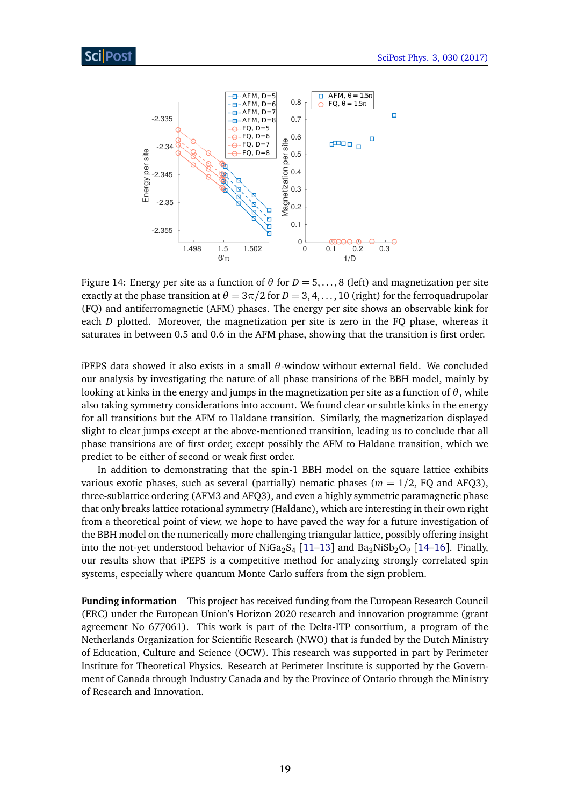

<span id="page-19-0"></span>Figure 14: Energy per site as a function of *θ* for *D* = 5, . . . , 8 (left) and magnetization per site exactly at the phase transition at  $\theta = 3\pi/2$  for  $D = 3, 4, \ldots, 10$  (right) for the ferroquadrupolar (FQ) and antiferromagnetic (AFM) phases. The energy per site shows an observable kink for each *D* plotted. Moreover, the magnetization per site is zero in the FQ phase, whereas it saturates in between 0.5 and 0.6 in the AFM phase, showing that the transition is first order.

iPEPS data showed it also exists in a small *θ*-window without external field. We concluded our analysis by investigating the nature of all phase transitions of the BBH model, mainly by looking at kinks in the energy and jumps in the magnetization per site as a function of *θ*, while also taking symmetry considerations into account. We found clear or subtle kinks in the energy for all transitions but the AFM to Haldane transition. Similarly, the magnetization displayed slight to clear jumps except at the above-mentioned transition, leading us to conclude that all phase transitions are of first order, except possibly the AFM to Haldane transition, which we predict to be either of second or weak first order.

In addition to demonstrating that the spin-1 BBH model on the square lattice exhibits various exotic phases, such as several (partially) nematic phases ( $m = 1/2$ , FQ and AFQ3), three-sublattice ordering (AFM3 and AFQ3), and even a highly symmetric paramagnetic phase that only breaks lattice rotational symmetry (Haldane), which are interesting in their own right from a theoretical point of view, we hope to have paved the way for a future investigation of the BBH model on the numerically more challenging triangular lattice, possibly offering insight into the not-yet understood behavior of NiGa $_2$ S<sub>4</sub> [[11–](#page-21-4)[13](#page-21-5)] and Ba $_3$ NiSb $_2$ O<sub>9</sub> [[14](#page-21-6)[–16](#page-21-7)]. Finally, our results show that iPEPS is a competitive method for analyzing strongly correlated spin systems, especially where quantum Monte Carlo suffers from the sign problem.

**Funding information** This project has received funding from the European Research Council (ERC) under the European Union's Horizon 2020 research and innovation programme (grant agreement No 677061). This work is part of the Delta-ITP consortium, a program of the Netherlands Organization for Scientific Research (NWO) that is funded by the Dutch Ministry of Education, Culture and Science (OCW). This research was supported in part by Perimeter Institute for Theoretical Physics. Research at Perimeter Institute is supported by the Government of Canada through Industry Canada and by the Province of Ontario through the Ministry of Research and Innovation.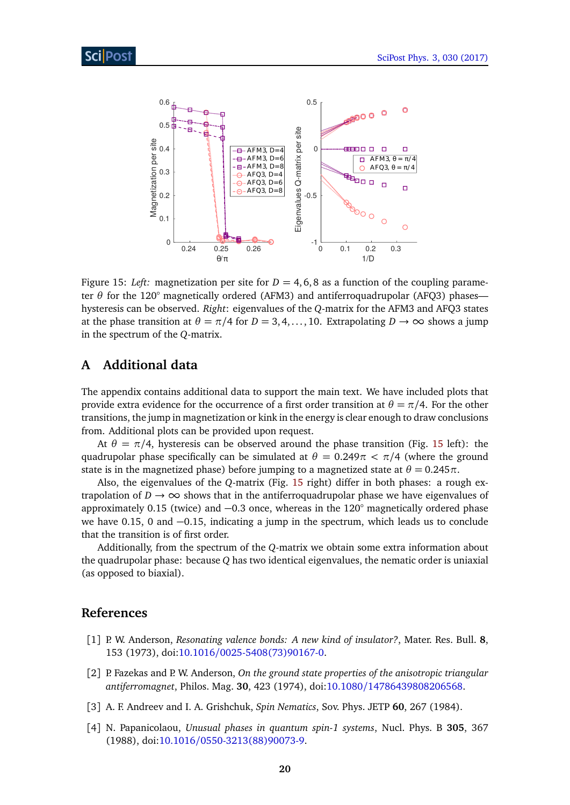

<span id="page-20-5"></span>Figure 15: *Left:* magnetization per site for  $D = 4, 6, 8$  as a function of the coupling parameter *θ* for the 120° magnetically ordered (AFM3) and antiferroquadrupolar (AFQ3) phases hysteresis can be observed. *Right*: eigenvalues of the *Q*-matrix for the AFM3 and AFQ3 states at the phase transition at  $\theta = \pi/4$  for  $D = 3, 4, \ldots, 10$ . Extrapolating  $D \to \infty$  shows a jump in the spectrum of the *Q*-matrix.

## <span id="page-20-0"></span>**A Additional data**

The appendix contains additional data to support the main text. We have included plots that provide extra evidence for the occurrence of a first order transition at  $\theta = \pi/4$ . For the other transitions, the jump in magnetization or kink in the energy is clear enough to draw conclusions from. Additional plots can be provided upon request.

At  $\theta = \pi/4$ , hysteresis can be observed around the phase transition (Fig. [15](#page-20-5) left): the quadrupolar phase specifically can be simulated at  $\theta = 0.249\pi < \pi/4$  (where the ground state is in the magnetized phase) before jumping to a magnetized state at  $\theta = 0.245\pi$ .

Also, the eigenvalues of the *Q*-matrix (Fig. [15](#page-20-5) right) differ in both phases: a rough extrapolation of  $D \to \infty$  shows that in the antiferroquadrupolar phase we have eigenvalues of approximately 0.15 (twice) and −0.3 once, whereas in the 120° magnetically ordered phase we have 0.15, 0 and −0.15, indicating a jump in the spectrum, which leads us to conclude that the transition is of first order.

Additionally, from the spectrum of the *Q*-matrix we obtain some extra information about the quadrupolar phase: because *Q* has two identical eigenvalues, the nematic order is uniaxial (as opposed to biaxial).

# **References**

- <span id="page-20-1"></span>[1] P. W. Anderson, *Resonating valence bonds: A new kind of insulator?*, Mater. Res. Bull. **8**, 153 (1973), doi:10.1016/[0025-5408\(73\)90167-0.](http://dx.doi.org/10.1016/0025-5408(73)90167-0)
- <span id="page-20-2"></span>[2] P. Fazekas and P. W. Anderson, *On the ground state properties of the anisotropic triangular antiferromagnet*, Philos. Mag. **30**, 423 (1974), doi:10.1080/[14786439808206568.](http://dx.doi.org/10.1080/14786439808206568)
- <span id="page-20-3"></span>[3] A. F. Andreev and I. A. Grishchuk, *Spin Nematics*, Sov. Phys. JETP **60**, 267 (1984).
- <span id="page-20-4"></span>[4] N. Papanicolaou, *Unusual phases in quantum spin-1 systems*, Nucl. Phys. B **305**, 367 (1988), doi:10.1016/[0550-3213\(88\)90073-9.](http://dx.doi.org/10.1016/0550-3213(88)90073-9)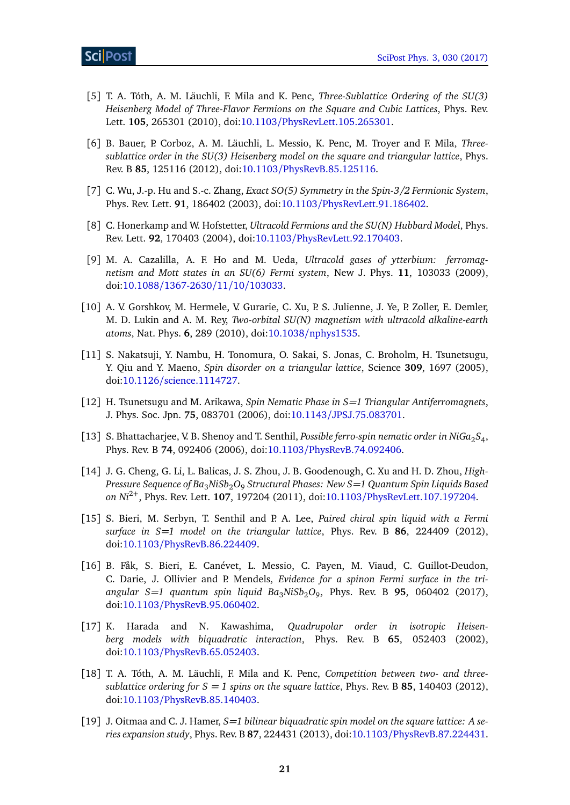- <span id="page-21-0"></span>[5] T. A. Tóth, A. M. Läuchli, F. Mila and K. Penc, *Three-Sublattice Ordering of the SU(3) Heisenberg Model of Three-Flavor Fermions on the Square and Cubic Lattices*, Phys. Rev. Lett. **105**, 265301 (2010), doi:10.1103/[PhysRevLett.105.265301.](http://dx.doi.org/10.1103/PhysRevLett.105.265301)
- <span id="page-21-1"></span>[6] B. Bauer, P. Corboz, A. M. Läuchli, L. Messio, K. Penc, M. Troyer and F. Mila, *Threesublattice order in the SU(3) Heisenberg model on the square and triangular lattice*, Phys. Rev. B **85**, 125116 (2012), doi:10.1103/[PhysRevB.85.125116.](http://dx.doi.org/10.1103/PhysRevB.85.125116)
- <span id="page-21-2"></span>[7] C. Wu, J.-p. Hu and S.-c. Zhang, *Exact SO(5) Symmetry in the Spin-3/2 Fermionic System*, Phys. Rev. Lett. **91**, 186402 (2003), doi:10.1103/[PhysRevLett.91.186402.](http://dx.doi.org/10.1103/PhysRevLett.91.186402)
- [8] C. Honerkamp and W. Hofstetter, *Ultracold Fermions and the SU(N) Hubbard Model*, Phys. Rev. Lett. **92**, 170403 (2004), doi:10.1103/[PhysRevLett.92.170403.](http://dx.doi.org/10.1103/PhysRevLett.92.170403)
- [9] M. A. Cazalilla, A. F. Ho and M. Ueda, *Ultracold gases of ytterbium: ferromagnetism and Mott states in an SU(6) Fermi system*, New J. Phys. **11**, 103033 (2009), doi:10.1088/[1367-2630](http://dx.doi.org/10.1088/1367-2630/11/10/103033)/11/10/103033.
- <span id="page-21-3"></span>[10] A. V. Gorshkov, M. Hermele, V. Gurarie, C. Xu, P. S. Julienne, J. Ye, P. Zoller, E. Demler, M. D. Lukin and A. M. Rey, *Two-orbital SU(N) magnetism with ultracold alkaline-earth atoms*, Nat. Phys. **6**, 289 (2010), doi:10.1038/[nphys1535.](http://dx.doi.org/10.1038/nphys1535)
- <span id="page-21-4"></span>[11] S. Nakatsuji, Y. Nambu, H. Tonomura, O. Sakai, S. Jonas, C. Broholm, H. Tsunetsugu, Y. Qiu and Y. Maeno, *Spin disorder on a triangular lattice*, Science **309**, 1697 (2005), doi:10.1126/[science.1114727.](http://dx.doi.org/10.1126/science.1114727)
- [12] H. Tsunetsugu and M. Arikawa, *Spin Nematic Phase in S=1 Triangular Antiferromagnets*, J. Phys. Soc. Jpn. **75**, 083701 (2006), doi:10.1143/[JPSJ.75.083701.](http://dx.doi.org/10.1143/JPSJ.75.083701)
- <span id="page-21-5"></span>[13] S. Bhattacharjee, V. B. Shenoy and T. Senthil, *Possible ferro-spin nematic order in NiGa*<sub>2</sub>S<sub>4</sub>, Phys. Rev. B **74**, 092406 (2006), doi:10.1103/[PhysRevB.74.092406.](http://dx.doi.org/10.1103/PhysRevB.74.092406)
- <span id="page-21-6"></span>[14] J. G. Cheng, G. Li, L. Balicas, J. S. Zhou, J. B. Goodenough, C. Xu and H. D. Zhou, *High-Pressure Sequence of Ba*3*NiSb*2*O*<sup>9</sup> *Structural Phases: New S=1 Quantum Spin Liquids Based on Ni*2+, Phys. Rev. Lett. **107**, 197204 (2011), doi:10.1103/[PhysRevLett.107.197204.](http://dx.doi.org/10.1103/PhysRevLett.107.197204)
- [15] S. Bieri, M. Serbyn, T. Senthil and P. A. Lee, *Paired chiral spin liquid with a Fermi surface in S=1 model on the triangular lattice*, Phys. Rev. B **86**, 224409 (2012), doi:10.1103/[PhysRevB.86.224409.](http://dx.doi.org/10.1103/PhysRevB.86.224409)
- <span id="page-21-7"></span>[16] B. Fåk, S. Bieri, E. Canévet, L. Messio, C. Payen, M. Viaud, C. Guillot-Deudon, C. Darie, J. Ollivier and P. Mendels, *Evidence for a spinon Fermi surface in the triangular S=1 quantum spin liquid Ba*3*NiSb*2*O*<sup>9</sup> , Phys. Rev. B **95**, 060402 (2017), doi:10.1103/[PhysRevB.95.060402.](http://dx.doi.org/10.1103/PhysRevB.95.060402)
- <span id="page-21-8"></span>[17] K. Harada and N. Kawashima, *Quadrupolar order in isotropic Heisenberg models with biquadratic interaction*, Phys. Rev. B **65**, 052403 (2002), doi:10.1103/[PhysRevB.65.052403.](http://dx.doi.org/10.1103/PhysRevB.65.052403)
- <span id="page-21-9"></span>[18] T. A. Tóth, A. M. Läuchli, F. Mila and K. Penc, *Competition between two- and threesublattice ordering for*  $S = 1$  *spins on the square lattice*, Phys. Rev. B 85, 140403 (2012), doi:10.1103/[PhysRevB.85.140403.](http://dx.doi.org/10.1103/PhysRevB.85.140403)
- <span id="page-21-10"></span>[19] J. Oitmaa and C. J. Hamer, *S=1 bilinear biquadratic spin model on the square lattice: A series expansion study*, Phys. Rev. B **87**, 224431 (2013), doi:10.1103/[PhysRevB.87.224431.](http://dx.doi.org/10.1103/PhysRevB.87.224431)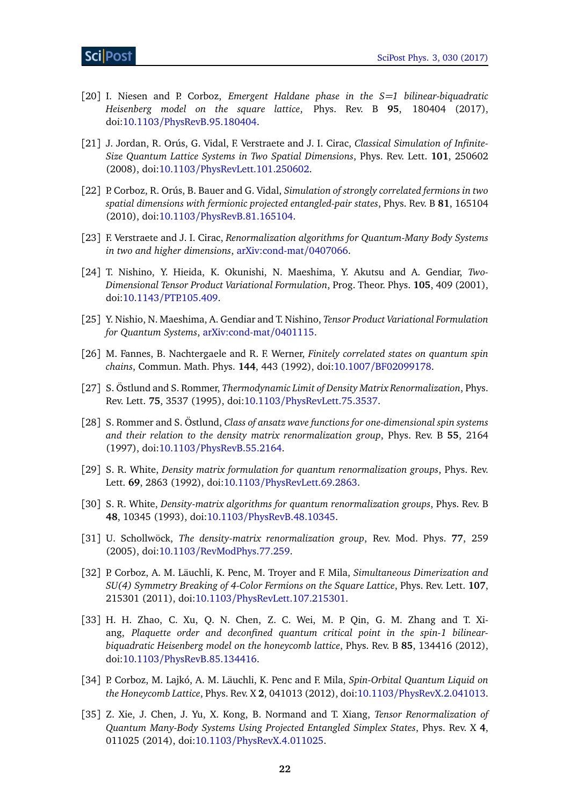- <span id="page-22-0"></span>[20] I. Niesen and P. Corboz, *Emergent Haldane phase in the S=1 bilinear-biquadratic Heisenberg model on the square lattice*, Phys. Rev. B **95**, 180404 (2017), doi:10.1103/[PhysRevB.95.180404.](http://dx.doi.org/10.1103/PhysRevB.95.180404)
- <span id="page-22-1"></span>[21] J. Jordan, R. Orús, G. Vidal, F. Verstraete and J. I. Cirac, *Classical Simulation of Infinite-Size Quantum Lattice Systems in Two Spatial Dimensions*, Phys. Rev. Lett. **101**, 250602 (2008), doi:10.1103/[PhysRevLett.101.250602.](http://dx.doi.org/10.1103/PhysRevLett.101.250602)
- <span id="page-22-2"></span>[22] P. Corboz, R. Orús, B. Bauer and G. Vidal, *Simulation of strongly correlated fermions in two spatial dimensions with fermionic projected entangled-pair states*, Phys. Rev. B **81**, 165104 (2010), doi:10.1103/[PhysRevB.81.165104.](http://dx.doi.org/10.1103/PhysRevB.81.165104)
- <span id="page-22-3"></span>[23] F. Verstraete and J. I. Cirac, *Renormalization algorithms for Quantum-Many Body Systems in two and higher dimensions*, [arXiv:cond-mat](https://arxiv.org/abs/cond-mat/0407066)/0407066.
- <span id="page-22-4"></span>[24] T. Nishino, Y. Hieida, K. Okunishi, N. Maeshima, Y. Akutsu and A. Gendiar, *Two-Dimensional Tensor Product Variational Formulation*, Prog. Theor. Phys. **105**, 409 (2001), doi:10.1143/[PTP.105.409.](http://dx.doi.org/10.1143/PTP.105.409)
- <span id="page-22-5"></span>[25] Y. Nishio, N. Maeshima, A. Gendiar and T. Nishino, *Tensor Product Variational Formulation for Quantum Systems*, [arXiv:cond-mat](https://arxiv.org/abs/cond-mat/0401115)/0401115.
- <span id="page-22-6"></span>[26] M. Fannes, B. Nachtergaele and R. F. Werner, *Finitely correlated states on quantum spin chains*, Commun. Math. Phys. **144**, 443 (1992), doi:10.1007/[BF02099178.](http://dx.doi.org/10.1007/BF02099178)
- [27] S. Östlund and S. Rommer, *Thermodynamic Limit of Density Matrix Renormalization*, Phys. Rev. Lett. **75**, 3537 (1995), doi:10.1103/[PhysRevLett.75.3537.](http://dx.doi.org/10.1103/PhysRevLett.75.3537)
- <span id="page-22-7"></span>[28] S. Rommer and S. Östlund, *Class of ansatz wave functions for one-dimensional spin systems and their relation to the density matrix renormalization group*, Phys. Rev. B **55**, 2164 (1997), doi:10.1103/[PhysRevB.55.2164.](http://dx.doi.org/10.1103/PhysRevB.55.2164)
- <span id="page-22-8"></span>[29] S. R. White, *Density matrix formulation for quantum renormalization groups*, Phys. Rev. Lett. **69**, 2863 (1992), doi:10.1103/[PhysRevLett.69.2863.](http://dx.doi.org/10.1103/PhysRevLett.69.2863)
- [30] S. R. White, *Density-matrix algorithms for quantum renormalization groups*, Phys. Rev. B **48**, 10345 (1993), doi:10.1103/[PhysRevB.48.10345.](http://dx.doi.org/10.1103/PhysRevB.48.10345)
- <span id="page-22-9"></span>[31] U. Schollwöck, *The density-matrix renormalization group*, Rev. Mod. Phys. **77**, 259 (2005), doi:10.1103/[RevModPhys.77.259.](http://dx.doi.org/10.1103/RevModPhys.77.259)
- <span id="page-22-10"></span>[32] P. Corboz, A. M. Läuchli, K. Penc, M. Troyer and F. Mila, *Simultaneous Dimerization and SU(4) Symmetry Breaking of 4-Color Fermions on the Square Lattice*, Phys. Rev. Lett. **107**, 215301 (2011), doi:10.1103/[PhysRevLett.107.215301.](http://dx.doi.org/10.1103/PhysRevLett.107.215301)
- [33] H. H. Zhao, C. Xu, Q. N. Chen, Z. C. Wei, M. P. Qin, G. M. Zhang and T. Xiang, *Plaquette order and deconfined quantum critical point in the spin-1 bilinearbiquadratic Heisenberg model on the honeycomb lattice*, Phys. Rev. B **85**, 134416 (2012), doi:10.1103/[PhysRevB.85.134416.](http://dx.doi.org/10.1103/PhysRevB.85.134416)
- [34] P. Corboz, M. Lajkó, A. M. Läuchli, K. Penc and F. Mila, *Spin-Orbital Quantum Liquid on the Honeycomb Lattice*, Phys. Rev. X **2**, 041013 (2012), doi:10.1103/[PhysRevX.2.041013.](http://dx.doi.org/10.1103/PhysRevX.2.041013)
- [35] Z. Xie, J. Chen, J. Yu, X. Kong, B. Normand and T. Xiang, *Tensor Renormalization of Quantum Many-Body Systems Using Projected Entangled Simplex States*, Phys. Rev. X **4**, 011025 (2014), doi:10.1103/[PhysRevX.4.011025.](http://dx.doi.org/10.1103/PhysRevX.4.011025)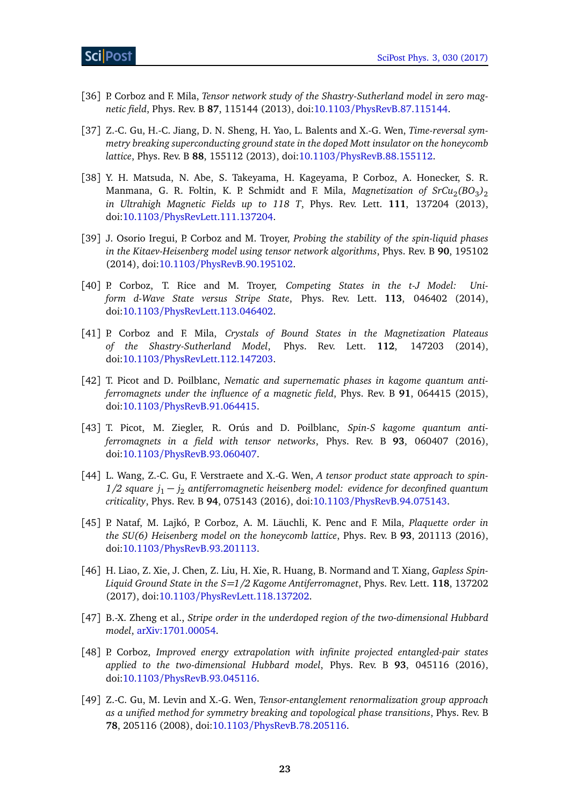- [36] P. Corboz and F. Mila, *Tensor network study of the Shastry-Sutherland model in zero magnetic field*, Phys. Rev. B **87**, 115144 (2013), doi:10.1103/[PhysRevB.87.115144.](http://dx.doi.org/10.1103/PhysRevB.87.115144)
- [37] Z.-C. Gu, H.-C. Jiang, D. N. Sheng, H. Yao, L. Balents and X.-G. Wen, *Time-reversal symmetry breaking superconducting ground state in the doped Mott insulator on the honeycomb lattice*, Phys. Rev. B **88**, 155112 (2013), doi:10.1103/[PhysRevB.88.155112.](http://dx.doi.org/10.1103/PhysRevB.88.155112)
- [38] Y. H. Matsuda, N. Abe, S. Takeyama, H. Kageyama, P. Corboz, A. Honecker, S. R. Manmana, G. R. Foltin, K. P. Schmidt and F. Mila, *Magnetization of SrCu*<sub>2</sub>(BO<sub>3</sub>)<sub>2</sub> *in Ultrahigh Magnetic Fields up to 118 T*, Phys. Rev. Lett. **111**, 137204 (2013), doi:10.1103/[PhysRevLett.111.137204.](http://dx.doi.org/10.1103/PhysRevLett.111.137204)
- [39] J. Osorio Iregui, P. Corboz and M. Troyer, *Probing the stability of the spin-liquid phases in the Kitaev-Heisenberg model using tensor network algorithms*, Phys. Rev. B **90**, 195102 (2014), doi:10.1103/[PhysRevB.90.195102.](http://dx.doi.org/10.1103/PhysRevB.90.195102)
- <span id="page-23-3"></span>[40] P. Corboz, T. Rice and M. Troyer, *Competing States in the t-J Model: Uniform d-Wave State versus Stripe State*, Phys. Rev. Lett. **113**, 046402 (2014), doi:10.1103/[PhysRevLett.113.046402.](http://dx.doi.org/10.1103/PhysRevLett.113.046402)
- [41] P. Corboz and F. Mila, *Crystals of Bound States in the Magnetization Plateaus of the Shastry-Sutherland Model*, Phys. Rev. Lett. **112**, 147203 (2014), doi:10.1103/[PhysRevLett.112.147203.](http://dx.doi.org/10.1103/PhysRevLett.112.147203)
- [42] T. Picot and D. Poilblanc, *Nematic and supernematic phases in kagome quantum antiferromagnets under the influence of a magnetic field*, Phys. Rev. B **91**, 064415 (2015), doi:10.1103/[PhysRevB.91.064415.](http://dx.doi.org/10.1103/PhysRevB.91.064415)
- [43] T. Picot, M. Ziegler, R. Orús and D. Poilblanc, *Spin-S kagome quantum antiferromagnets in a field with tensor networks*, Phys. Rev. B **93**, 060407 (2016), doi:10.1103/[PhysRevB.93.060407.](http://dx.doi.org/10.1103/PhysRevB.93.060407)
- [44] L. Wang, Z.-C. Gu, F. Verstraete and X.-G. Wen, *A tensor product state approach to spin-1/2 square j*<sup>1</sup> − *j*<sup>2</sup> *antiferromagnetic heisenberg model: evidence for deconfined quantum criticality*, Phys. Rev. B **94**, 075143 (2016), doi:10.1103/[PhysRevB.94.075143.](http://dx.doi.org/10.1103/PhysRevB.94.075143)
- [45] P. Nataf, M. Lajkó, P. Corboz, A. M. Läuchli, K. Penc and F. Mila, *Plaquette order in the SU(6) Heisenberg model on the honeycomb lattice*, Phys. Rev. B **93**, 201113 (2016), doi:10.1103/[PhysRevB.93.201113.](http://dx.doi.org/10.1103/PhysRevB.93.201113)
- [46] H. Liao, Z. Xie, J. Chen, Z. Liu, H. Xie, R. Huang, B. Normand and T. Xiang, *Gapless Spin-Liquid Ground State in the S=1/2 Kagome Antiferromagnet*, Phys. Rev. Lett. **118**, 137202 (2017), doi:10.1103/[PhysRevLett.118.137202.](http://dx.doi.org/10.1103/PhysRevLett.118.137202)
- <span id="page-23-0"></span>[47] B.-X. Zheng et al., *Stripe order in the underdoped region of the two-dimensional Hubbard model*, [arXiv:1701.00054.](https://arxiv.org/abs/1701.00054)
- <span id="page-23-1"></span>[48] P. Corboz, *Improved energy extrapolation with infinite projected entangled-pair states applied to the two-dimensional Hubbard model*, Phys. Rev. B **93**, 045116 (2016), doi:10.1103/[PhysRevB.93.045116.](http://dx.doi.org/10.1103/PhysRevB.93.045116)
- <span id="page-23-2"></span>[49] Z.-C. Gu, M. Levin and X.-G. Wen, *Tensor-entanglement renormalization group approach as a unified method for symmetry breaking and topological phase transitions*, Phys. Rev. B **78**, 205116 (2008), doi:10.1103/[PhysRevB.78.205116.](http://dx.doi.org/10.1103/PhysRevB.78.205116)